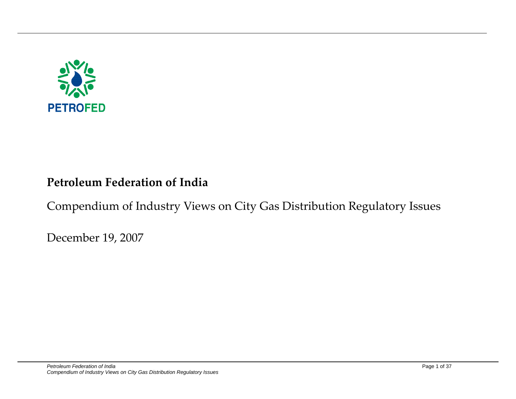

## **Petroleum Federation of India**

## Compendium of Industry Views on City Gas Distribution Regulatory Issues

December 19, 2007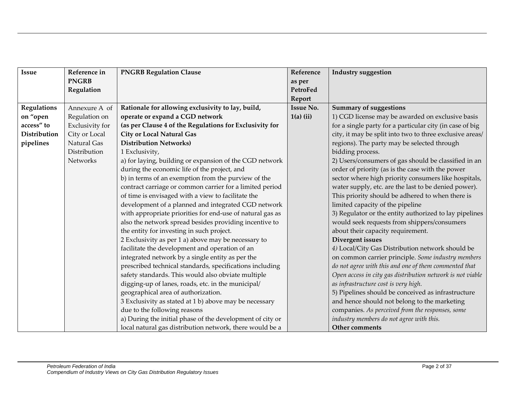| <b>Issue</b>       | Reference in    | <b>PNGRB Regulation Clause</b>                            | Reference        | <b>Industry suggestion</b>                                 |
|--------------------|-----------------|-----------------------------------------------------------|------------------|------------------------------------------------------------|
|                    | <b>PNGRB</b>    |                                                           | as per           |                                                            |
|                    | Regulation      |                                                           | PetroFed         |                                                            |
|                    |                 |                                                           | Report           |                                                            |
| <b>Regulations</b> | Annexure A of   | Rationale for allowing exclusivity to lay, build,         | <b>Issue No.</b> | <b>Summary of suggestions</b>                              |
| on "open           | Regulation on   | operate or expand a CGD network                           | $1(a)$ (ii)      | 1) CGD license may be awarded on exclusive basis           |
| access" to         | Exclusivity for | (as per Clause 4 of the Regulations for Exclusivity for   |                  | for a single party for a particular city (in case of big   |
| Distribution       | City or Local   | <b>City or Local Natural Gas</b>                          |                  | city, it may be split into two to three exclusive areas/   |
| pipelines          | Natural Gas     | <b>Distribution Networks)</b>                             |                  | regions). The party may be selected through                |
|                    | Distribution    | 1 Exclusivity,                                            |                  | bidding process.                                           |
|                    | <b>Networks</b> | a) for laying, building or expansion of the CGD network   |                  | 2) Users/consumers of gas should be classified in an       |
|                    |                 | during the economic life of the project, and              |                  | order of priority (as is the case with the power           |
|                    |                 | b) in terms of an exemption from the purview of the       |                  | sector where high priority consumers like hospitals,       |
|                    |                 | contract carriage or common carrier for a limited period  |                  | water supply, etc. are the last to be denied power).       |
|                    |                 | of time is envisaged with a view to facilitate the        |                  | This priority should be adhered to when there is           |
|                    |                 | development of a planned and integrated CGD network       |                  | limited capacity of the pipeline                           |
|                    |                 | with appropriate priorities for end-use of natural gas as |                  | 3) Regulator or the entity authorized to lay pipelines     |
|                    |                 | also the network spread besides providing incentive to    |                  | would seek requests from shippers/consumers                |
|                    |                 | the entity for investing in such project.                 |                  | about their capacity requirement.                          |
|                    |                 | 2 Exclusivity as per 1 a) above may be necessary to       |                  | Divergent issues                                           |
|                    |                 | facilitate the development and operation of an            |                  | 4) Local/City Gas Distribution network should be           |
|                    |                 | integrated network by a single entity as per the          |                  | on common carrier principle. Some industry members         |
|                    |                 | prescribed technical standards, specifications including  |                  | do not agree with this and one of them commented that      |
|                    |                 | safety standards. This would also obviate multiple        |                  | Open access in city gas distribution network is not viable |
|                    |                 | digging-up of lanes, roads, etc. in the municipal/        |                  | as infrastructure cost is very high.                       |
|                    |                 | geographical area of authorization.                       |                  | 5) Pipelines should be conceived as infrastructure         |
|                    |                 | 3 Exclusivity as stated at 1 b) above may be necessary    |                  | and hence should not belong to the marketing               |
|                    |                 | due to the following reasons                              |                  | companies. As perceived from the responses, some           |
|                    |                 | a) During the initial phase of the development of city or |                  | industry members do not agree with this.                   |
|                    |                 | local natural gas distribution network, there would be a  |                  | Other comments                                             |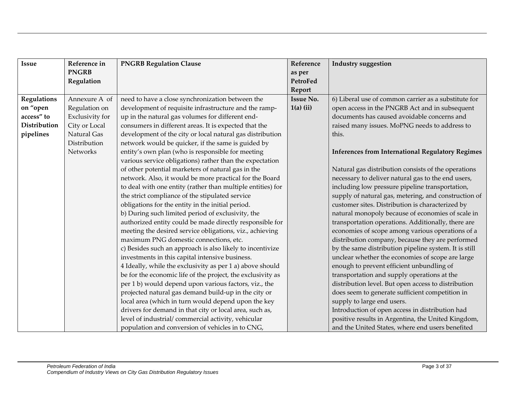| <b>Issue</b>       | Reference in    | <b>PNGRB Regulation Clause</b>                              | Reference        | <b>Industry suggestion</b>                              |
|--------------------|-----------------|-------------------------------------------------------------|------------------|---------------------------------------------------------|
|                    | <b>PNGRB</b>    |                                                             | as per           |                                                         |
|                    | Regulation      |                                                             | PetroFed         |                                                         |
|                    |                 |                                                             | Report           |                                                         |
| <b>Regulations</b> | Annexure A of   | need to have a close synchronization between the            | <b>Issue No.</b> | 6) Liberal use of common carrier as a substitute for    |
| on "open           | Regulation on   | development of requisite infrastructure and the ramp-       | $1(a)$ (ii)      | open access in the PNGRB Act and in subsequent          |
| access" to         | Exclusivity for | up in the natural gas volumes for different end-            |                  | documents has caused avoidable concerns and             |
| Distribution       | City or Local   | consumers in different areas. It is expected that the       |                  | raised many issues. MoPNG needs to address to           |
| pipelines          | Natural Gas     | development of the city or local natural gas distribution   |                  | this.                                                   |
|                    | Distribution    | network would be quicker, if the same is guided by          |                  |                                                         |
|                    | Networks        | entity's own plan (who is responsible for meeting           |                  | <b>Inferences from International Regulatory Regimes</b> |
|                    |                 | various service obligations) rather than the expectation    |                  |                                                         |
|                    |                 | of other potential marketers of natural gas in the          |                  | Natural gas distribution consists of the operations     |
|                    |                 | network. Also, it would be more practical for the Board     |                  | necessary to deliver natural gas to the end users,      |
|                    |                 | to deal with one entity (rather than multiple entities) for |                  | including low pressure pipeline transportation,         |
|                    |                 | the strict compliance of the stipulated service             |                  | supply of natural gas, metering, and construction of    |
|                    |                 | obligations for the entity in the initial period.           |                  | customer sites. Distribution is characterized by        |
|                    |                 | b) During such limited period of exclusivity, the           |                  | natural monopoly because of economies of scale in       |
|                    |                 | authorized entity could be made directly responsible for    |                  | transportation operations. Additionally, there are      |
|                    |                 | meeting the desired service obligations, viz., achieving    |                  | economies of scope among various operations of a        |
|                    |                 | maximum PNG domestic connections, etc.                      |                  | distribution company, because they are performed        |
|                    |                 | c) Besides such an approach is also likely to incentivize   |                  | by the same distribution pipeline system. It is still   |
|                    |                 | investments in this capital intensive business.             |                  | unclear whether the economies of scope are large        |
|                    |                 | 4 Ideally, while the exclusivity as per 1 a) above should   |                  | enough to prevent efficient unbundling of               |
|                    |                 | be for the economic life of the project, the exclusivity as |                  | transportation and supply operations at the             |
|                    |                 | per 1 b) would depend upon various factors, viz., the       |                  | distribution level. But open access to distribution     |
|                    |                 | projected natural gas demand build-up in the city or        |                  | does seem to generate sufficient competition in         |
|                    |                 | local area (which in turn would depend upon the key         |                  | supply to large end users.                              |
|                    |                 | drivers for demand in that city or local area, such as,     |                  | Introduction of open access in distribution had         |
|                    |                 | level of industrial/commercial activity, vehicular          |                  | positive results in Argentina, the United Kingdom,      |
|                    |                 | population and conversion of vehicles in to CNG,            |                  | and the United States, where end users benefited        |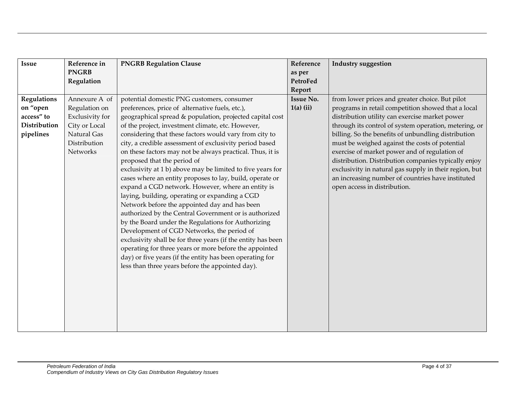| <b>Issue</b>       | Reference in    | <b>PNGRB Regulation Clause</b>                               | Reference        | <b>Industry suggestion</b>                             |
|--------------------|-----------------|--------------------------------------------------------------|------------------|--------------------------------------------------------|
|                    | <b>PNGRB</b>    |                                                              | as per           |                                                        |
|                    | Regulation      |                                                              | PetroFed         |                                                        |
|                    |                 |                                                              | Report           |                                                        |
| <b>Regulations</b> | Annexure A of   | potential domestic PNG customers, consumer                   | <b>Issue No.</b> | from lower prices and greater choice. But pilot        |
| on "open           | Regulation on   | preferences, price of alternative fuels, etc.),              | $1(a)$ (ii)      | programs in retail competition showed that a local     |
| access" to         | Exclusivity for | geographical spread & population, projected capital cost     |                  | distribution utility can exercise market power         |
| Distribution       | City or Local   | of the project, investment climate, etc. However,            |                  | through its control of system operation, metering, or  |
| pipelines          | Natural Gas     | considering that these factors would vary from city to       |                  | billing. So the benefits of unbundling distribution    |
|                    | Distribution    | city, a credible assessment of exclusivity period based      |                  | must be weighed against the costs of potential         |
|                    | Networks        | on these factors may not be always practical. Thus, it is    |                  | exercise of market power and of regulation of          |
|                    |                 | proposed that the period of                                  |                  | distribution. Distribution companies typically enjoy   |
|                    |                 | exclusivity at 1 b) above may be limited to five years for   |                  | exclusivity in natural gas supply in their region, but |
|                    |                 | cases where an entity proposes to lay, build, operate or     |                  | an increasing number of countries have instituted      |
|                    |                 | expand a CGD network. However, where an entity is            |                  | open access in distribution.                           |
|                    |                 | laying, building, operating or expanding a CGD               |                  |                                                        |
|                    |                 | Network before the appointed day and has been                |                  |                                                        |
|                    |                 | authorized by the Central Government or is authorized        |                  |                                                        |
|                    |                 | by the Board under the Regulations for Authorizing           |                  |                                                        |
|                    |                 | Development of CGD Networks, the period of                   |                  |                                                        |
|                    |                 | exclusivity shall be for three years (if the entity has been |                  |                                                        |
|                    |                 | operating for three years or more before the appointed       |                  |                                                        |
|                    |                 | day) or five years (if the entity has been operating for     |                  |                                                        |
|                    |                 | less than three years before the appointed day).             |                  |                                                        |
|                    |                 |                                                              |                  |                                                        |
|                    |                 |                                                              |                  |                                                        |
|                    |                 |                                                              |                  |                                                        |
|                    |                 |                                                              |                  |                                                        |
|                    |                 |                                                              |                  |                                                        |
|                    |                 |                                                              |                  |                                                        |
|                    |                 |                                                              |                  |                                                        |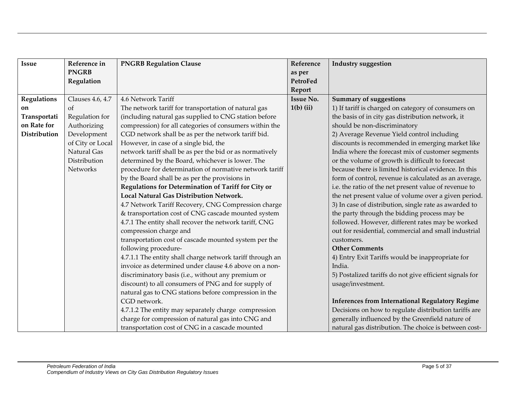| <b>Issue</b>       | Reference in     | <b>PNGRB Regulation Clause</b>                            | Reference        | <b>Industry suggestion</b>                              |
|--------------------|------------------|-----------------------------------------------------------|------------------|---------------------------------------------------------|
|                    | <b>PNGRB</b>     |                                                           | as per           |                                                         |
|                    | Regulation       |                                                           | PetroFed         |                                                         |
|                    |                  |                                                           | Report           |                                                         |
| <b>Regulations</b> | Clauses 4.6, 4.7 | 4.6 Network Tariff                                        | <b>Issue No.</b> | <b>Summary of suggestions</b>                           |
| on                 | of               | The network tariff for transportation of natural gas      | $1(b)$ (ii)      | 1) If tariff is charged on category of consumers on     |
| Transportati       | Regulation for   | (including natural gas supplied to CNG station before     |                  | the basis of in city gas distribution network, it       |
| on Rate for        | Authorizing      | compression) for all categories of consumers within the   |                  | should be non-discriminatory                            |
| Distribution       | Development      | CGD network shall be as per the network tariff bid.       |                  | 2) Average Revenue Yield control including              |
|                    | of City or Local | However, in case of a single bid, the                     |                  | discounts is recommended in emerging market like        |
|                    | Natural Gas      | network tariff shall be as per the bid or as normatively  |                  | India where the forecast mix of customer segments       |
|                    | Distribution     | determined by the Board, whichever is lower. The          |                  | or the volume of growth is difficult to forecast        |
|                    | <b>Networks</b>  | procedure for determination of normative network tariff   |                  | because there is limited historical evidence. In this   |
|                    |                  | by the Board shall be as per the provisions in            |                  | form of control, revenue is calculated as an average,   |
|                    |                  | Regulations for Determination of Tariff for City or       |                  | i.e. the ratio of the net present value of revenue to   |
|                    |                  | <b>Local Natural Gas Distribution Network.</b>            |                  | the net present value of volume over a given period.    |
|                    |                  | 4.7 Network Tariff Recovery, CNG Compression charge       |                  | 3) In case of distribution, single rate as awarded to   |
|                    |                  | & transportation cost of CNG cascade mounted system       |                  | the party through the bidding process may be            |
|                    |                  | 4.7.1 The entity shall recover the network tariff, CNG    |                  | followed. However, different rates may be worked        |
|                    |                  | compression charge and                                    |                  | out for residential, commercial and small industrial    |
|                    |                  | transportation cost of cascade mounted system per the     |                  | customers.                                              |
|                    |                  | following procedure-                                      |                  | <b>Other Comments</b>                                   |
|                    |                  | 4.7.1.1 The entity shall charge network tariff through an |                  | 4) Entry Exit Tariffs would be inappropriate for        |
|                    |                  | invoice as determined under clause 4.6 above on a non-    |                  | India.                                                  |
|                    |                  | discriminatory basis (i.e., without any premium or        |                  | 5) Postalized tariffs do not give efficient signals for |
|                    |                  | discount) to all consumers of PNG and for supply of       |                  | usage/investment.                                       |
|                    |                  | natural gas to CNG stations before compression in the     |                  |                                                         |
|                    |                  | CGD network.                                              |                  | <b>Inferences from International Regulatory Regime</b>  |
|                    |                  | 4.7.1.2 The entity may separately charge compression      |                  | Decisions on how to regulate distribution tariffs are   |
|                    |                  | charge for compression of natural gas into CNG and        |                  | generally influenced by the Greenfield nature of        |
|                    |                  | transportation cost of CNG in a cascade mounted           |                  | natural gas distribution. The choice is between cost-   |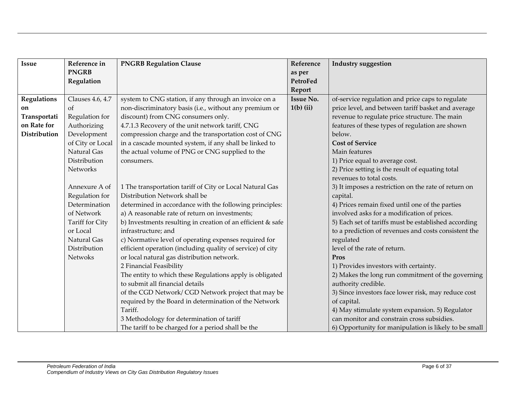| <b>Issue</b>       | Reference in     | <b>PNGRB Regulation Clause</b>                              | Reference        | <b>Industry suggestion</b>                            |
|--------------------|------------------|-------------------------------------------------------------|------------------|-------------------------------------------------------|
|                    | <b>PNGRB</b>     |                                                             | as per           |                                                       |
|                    | Regulation       |                                                             | PetroFed         |                                                       |
|                    |                  |                                                             | Report           |                                                       |
| <b>Regulations</b> | Clauses 4.6, 4.7 | system to CNG station, if any through an invoice on a       | <b>Issue No.</b> | of-service regulation and price caps to regulate      |
| on                 | of               | non-discriminatory basis (i.e., without any premium or      | $1(b)$ (ii)      | price level, and between tariff basket and average    |
| Transportati       | Regulation for   | discount) from CNG consumers only.                          |                  | revenue to regulate price structure. The main         |
| on Rate for        | Authorizing      | 4.7.1.3 Recovery of the unit network tariff, CNG            |                  | features of these types of regulation are shown       |
| Distribution       | Development      | compression charge and the transportation cost of CNG       |                  | below.                                                |
|                    | of City or Local | in a cascade mounted system, if any shall be linked to      |                  | <b>Cost of Service</b>                                |
|                    | Natural Gas      | the actual volume of PNG or CNG supplied to the             |                  | Main features                                         |
|                    | Distribution     | consumers.                                                  |                  | 1) Price equal to average cost.                       |
|                    | Networks         |                                                             |                  | 2) Price setting is the result of equating total      |
|                    |                  |                                                             |                  | revenues to total costs.                              |
|                    | Annexure A of    | 1 The transportation tariff of City or Local Natural Gas    |                  | 3) It imposes a restriction on the rate of return on  |
|                    | Regulation for   | Distribution Network shall be                               |                  | capital.                                              |
|                    | Determination    | determined in accordance with the following principles:     |                  | 4) Prices remain fixed until one of the parties       |
|                    | of Network       | a) A reasonable rate of return on investments;              |                  | involved asks for a modification of prices.           |
|                    | Tariff for City  | b) Investments resulting in creation of an efficient & safe |                  | 5) Each set of tariffs must be established according  |
|                    | or Local         | infrastructure; and                                         |                  | to a prediction of revenues and costs consistent the  |
|                    | Natural Gas      | c) Normative level of operating expenses required for       |                  | regulated                                             |
|                    | Distribution     | efficient operation (including quality of service) of city  |                  | level of the rate of return.                          |
|                    | <b>Netwoks</b>   | or local natural gas distribution network.                  |                  | Pros                                                  |
|                    |                  | 2 Financial Feasibility                                     |                  | 1) Provides investors with certainty.                 |
|                    |                  | The entity to which these Regulations apply is obligated    |                  | 2) Makes the long run commitment of the governing     |
|                    |                  | to submit all financial details                             |                  | authority credible.                                   |
|                    |                  | of the CGD Network/CGD Network project that may be          |                  | 3) Since investors face lower risk, may reduce cost   |
|                    |                  | required by the Board in determination of the Network       |                  | of capital.                                           |
|                    |                  | Tariff.                                                     |                  | 4) May stimulate system expansion. 5) Regulator       |
|                    |                  | 3 Methodology for determination of tariff                   |                  | can monitor and constrain cross subsidies.            |
|                    |                  | The tariff to be charged for a period shall be the          |                  | 6) Opportunity for manipulation is likely to be small |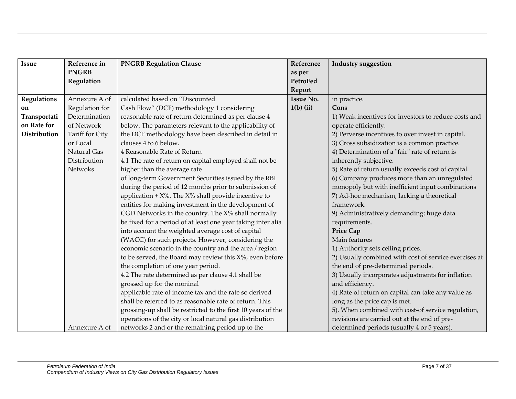| <b>Issue</b>       | Reference in    | <b>PNGRB Regulation Clause</b>                               | Reference        | <b>Industry suggestion</b>                            |
|--------------------|-----------------|--------------------------------------------------------------|------------------|-------------------------------------------------------|
|                    | <b>PNGRB</b>    |                                                              | as per           |                                                       |
|                    | Regulation      |                                                              | PetroFed         |                                                       |
|                    |                 |                                                              | Report           |                                                       |
| <b>Regulations</b> | Annexure A of   | calculated based on "Discounted                              | <b>Issue No.</b> | in practice.                                          |
| on                 | Regulation for  | Cash Flow" (DCF) methodology 1 considering                   | $1(b)$ (ii)      | Cons                                                  |
| Transportati       | Determination   | reasonable rate of return determined as per clause 4         |                  | 1) Weak incentives for investors to reduce costs and  |
| on Rate for        | of Network      | below. The parameters relevant to the applicability of       |                  | operate efficiently.                                  |
| Distribution       | Tariff for City | the DCF methodology have been described in detail in         |                  | 2) Perverse incentives to over invest in capital.     |
|                    | or Local        | clauses 4 to 6 below.                                        |                  | 3) Cross subsidization is a common practice.          |
|                    | Natural Gas     | 4 Reasonable Rate of Return                                  |                  | 4) Determination of a "fair" rate of return is        |
|                    | Distribution    | 4.1 The rate of return on capital employed shall not be      |                  | inherently subjective.                                |
|                    | <b>Netwoks</b>  | higher than the average rate                                 |                  | 5) Rate of return usually exceeds cost of capital.    |
|                    |                 | of long-term Government Securities issued by the RBI         |                  | 6) Company produces more than an unregulated          |
|                    |                 | during the period of 12 months prior to submission of        |                  | monopoly but with inefficient input combinations      |
|                    |                 | application + $X$ %. The $X$ % shall provide incentive to    |                  | 7) Ad-hoc mechanism, lacking a theoretical            |
|                    |                 | entities for making investment in the development of         |                  | framework.                                            |
|                    |                 | CGD Networks in the country. The X% shall normally           |                  | 9) Administratively demanding; huge data              |
|                    |                 | be fixed for a period of at least one year taking inter alia |                  | requirements.                                         |
|                    |                 | into account the weighted average cost of capital            |                  | Price Cap                                             |
|                    |                 | (WACC) for such projects. However, considering the           |                  | Main features                                         |
|                    |                 | economic scenario in the country and the area / region       |                  | 1) Authority sets ceiling prices.                     |
|                    |                 | to be served, the Board may review this $X$ %, even before   |                  | 2) Usually combined with cost of service exercises at |
|                    |                 | the completion of one year period.                           |                  | the end of pre-determined periods.                    |
|                    |                 | 4.2 The rate determined as per clause 4.1 shall be           |                  | 3) Usually incorporates adjustments for inflation     |
|                    |                 | grossed up for the nominal                                   |                  | and efficiency.                                       |
|                    |                 | applicable rate of income tax and the rate so derived        |                  | 4) Rate of return on capital can take any value as    |
|                    |                 | shall be referred to as reasonable rate of return. This      |                  | long as the price cap is met.                         |
|                    |                 | grossing-up shall be restricted to the first 10 years of the |                  | 5). When combined with cost-of service regulation,    |
|                    |                 | operations of the city or local natural gas distribution     |                  | revisions are carried out at the end of pre-          |
|                    | Annexure A of   | networks 2 and or the remaining period up to the             |                  | determined periods (usually 4 or 5 years).            |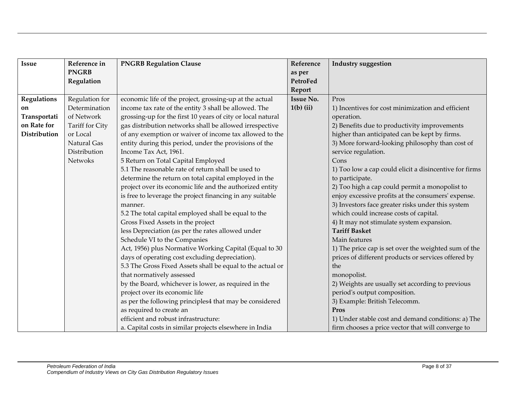| <b>Issue</b>       | Reference in    | <b>PNGRB Regulation Clause</b>                              | Reference        | <b>Industry suggestion</b>                             |
|--------------------|-----------------|-------------------------------------------------------------|------------------|--------------------------------------------------------|
|                    | <b>PNGRB</b>    |                                                             | as per           |                                                        |
|                    | Regulation      |                                                             | PetroFed         |                                                        |
|                    |                 |                                                             | Report           |                                                        |
| <b>Regulations</b> | Regulation for  | economic life of the project, grossing-up at the actual     | <b>Issue No.</b> | Pros                                                   |
| on                 | Determination   | income tax rate of the entity 3 shall be allowed. The       | $1(b)$ (ii)      | 1) Incentives for cost minimization and efficient      |
| Transportati       | of Network      | grossing-up for the first 10 years of city or local natural |                  | operation.                                             |
| on Rate for        | Tariff for City | gas distribution networks shall be allowed irrespective     |                  | 2) Benefits due to productivity improvements           |
| Distribution       | or Local        | of any exemption or waiver of income tax allowed to the     |                  | higher than anticipated can be kept by firms.          |
|                    | Natural Gas     | entity during this period, under the provisions of the      |                  | 3) More forward-looking philosophy than cost of        |
|                    | Distribution    | Income Tax Act, 1961.                                       |                  | service regulation.                                    |
|                    | Netwoks         | 5 Return on Total Capital Employed                          |                  | Cons                                                   |
|                    |                 | 5.1 The reasonable rate of return shall be used to          |                  | 1) Too low a cap could elicit a disincentive for firms |
|                    |                 | determine the return on total capital employed in the       |                  | to participate.                                        |
|                    |                 | project over its economic life and the authorized entity    |                  | 2) Too high a cap could permit a monopolist to         |
|                    |                 | is free to leverage the project financing in any suitable   |                  | enjoy excessive profits at the consumers' expense.     |
|                    |                 | manner.                                                     |                  | 3) Investors face greater risks under this system      |
|                    |                 | 5.2 The total capital employed shall be equal to the        |                  | which could increase costs of capital.                 |
|                    |                 | Gross Fixed Assets in the project                           |                  | 4) It may not stimulate system expansion.              |
|                    |                 | less Depreciation (as per the rates allowed under           |                  | <b>Tariff Basket</b>                                   |
|                    |                 | Schedule VI to the Companies                                |                  | Main features                                          |
|                    |                 | Act, 1956) plus Normative Working Capital (Equal to 30      |                  | 1) The price cap is set over the weighted sum of the   |
|                    |                 | days of operating cost excluding depreciation).             |                  | prices of different products or services offered by    |
|                    |                 | 5.3 The Gross Fixed Assets shall be equal to the actual or  |                  | the                                                    |
|                    |                 | that normatively assessed                                   |                  | monopolist.                                            |
|                    |                 | by the Board, whichever is lower, as required in the        |                  | 2) Weights are usually set according to previous       |
|                    |                 | project over its economic life                              |                  | period's output composition.                           |
|                    |                 | as per the following principles4 that may be considered     |                  | 3) Example: British Telecomm.                          |
|                    |                 | as required to create an                                    |                  | Pros                                                   |
|                    |                 | efficient and robust infrastructure:                        |                  | 1) Under stable cost and demand conditions: a) The     |
|                    |                 | a. Capital costs in similar projects elsewhere in India     |                  | firm chooses a price vector that will converge to      |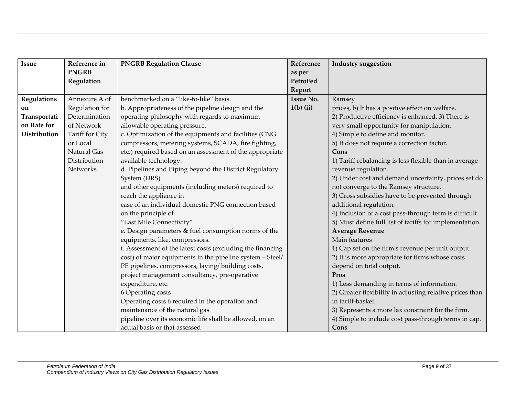| <b>Issue</b> | Reference in    | <b>PNGRB Regulation Clause</b>                             | Reference        | <b>Industry suggestion</b>                               |
|--------------|-----------------|------------------------------------------------------------|------------------|----------------------------------------------------------|
|              | <b>PNGRB</b>    |                                                            | as per           |                                                          |
|              | Regulation      |                                                            | PetroFed         |                                                          |
|              |                 |                                                            | Report           |                                                          |
| Regulations  | Annexure A of   | benchmarked on a "like-to-like" basis.                     | <b>Issue No.</b> | Ramsey                                                   |
| on           | Regulation for  | b. Appropriateness of the pipeline design and the          | $1(b)$ (ii)      | prices, b) It has a positive effect on welfare.          |
| Transportati | Determination   | operating philosophy with regards to maximum               |                  | 2) Productive efficiency is enhanced. 3) There is        |
| on Rate for  | of Network      | allowable operating pressure.                              |                  | very small opportunity for manipulation.                 |
| Distribution | Tariff for City | c. Optimization of the equipments and facilities (CNG      |                  | 4) Simple to define and monitor.                         |
|              | or Local        | compressors, metering systems, SCADA, fire fighting,       |                  | 5) It does not require a correction factor.              |
|              | Natural Gas     | etc.) required based on an assessment of the appropriate   |                  | Cons                                                     |
|              | Distribution    | available technology.                                      |                  | 1) Tariff rebalancing is less flexible than in average-  |
|              | Networks        | d. Pipelines and Piping beyond the District Regulatory     |                  | revenue regulation.                                      |
|              |                 | System (DRS)                                               |                  | 2) Under cost and demand uncertainty, prices set do      |
|              |                 | and other equipments (including meters) required to        |                  | not converge to the Ramsey structure.                    |
|              |                 | reach the appliance in                                     |                  | 3) Cross subsidies have to be prevented through          |
|              |                 | case of an individual domestic PNG connection based        |                  | additional regulation.                                   |
|              |                 | on the principle of                                        |                  | 4) Inclusion of a cost pass-through term is difficult.   |
|              |                 | "Last Mile Connectivity"                                   |                  | 5) Must define full list of tariffs for implementation.  |
|              |                 | e. Design parameters & fuel consumption norms of the       |                  | <b>Average Revenue</b>                                   |
|              |                 | equipments, like, compressors.                             |                  | Main features                                            |
|              |                 | f. Assessment of the latest costs (excluding the financing |                  | 1) Cap set on the firm's revenue per unit output.        |
|              |                 | cost) of major equipments in the pipeline system - Steel/  |                  | 2) It is more appropriate for firms whose costs          |
|              |                 | PE pipelines, compressors, laying/building costs,          |                  | depend on total output.                                  |
|              |                 | project management consultancy, pre-operative              |                  | Pros                                                     |
|              |                 | expenditure, etc.                                          |                  | 1) Less demanding in terms of information.               |
|              |                 | 6 Operating costs                                          |                  | 2) Greater flexibility in adjusting relative prices than |
|              |                 | Operating costs 6 required in the operation and            |                  | in tariff-basket.                                        |
|              |                 | maintenance of the natural gas                             |                  | 3) Represents a more lax constraint for the firm.        |
|              |                 | pipeline over its economic life shall be allowed, on an    |                  | 4) Simple to include cost pass-through terms in cap.     |
|              |                 | actual basis or that assessed                              |                  | Cons                                                     |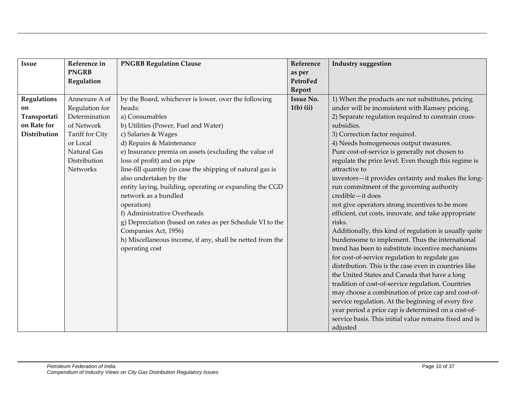| <b>Issue</b>       | Reference in    | <b>PNGRB Regulation Clause</b>                             | Reference        | <b>Industry suggestion</b>                             |
|--------------------|-----------------|------------------------------------------------------------|------------------|--------------------------------------------------------|
|                    | <b>PNGRB</b>    |                                                            | as per           |                                                        |
|                    | Regulation      |                                                            | PetroFed         |                                                        |
|                    |                 |                                                            | Report           |                                                        |
| <b>Regulations</b> | Annexure A of   | by the Board, whichever is lower, over the following       | <b>Issue No.</b> | 1) When the products are not substitutes, pricing      |
| on                 | Regulation for  | heads:                                                     | $1(b)$ (ii)      | under will be inconsistent with Ramsey pricing.        |
| Transportati       | Determination   | a) Consumables                                             |                  | 2) Separate regulation required to constrain cross-    |
| on Rate for        | of Network      | b) Utilities (Power, Fuel and Water)                       |                  | subsidies.                                             |
| Distribution       | Tariff for City | c) Salaries & Wages                                        |                  | 3) Correction factor required.                         |
|                    | or Local        | d) Repairs & Maintenance                                   |                  | 4) Needs homogeneous output measures.                  |
|                    | Natural Gas     | e) Insurance premia on assets (excluding the value of      |                  | Pure cost-of-service is generally not chosen to        |
|                    | Distribution    | loss of profit) and on pipe                                |                  | regulate the price level. Even though this regime is   |
|                    | <b>Networks</b> | line-fill quantity (in case the shipping of natural gas is |                  | attractive to                                          |
|                    |                 | also undertaken by the                                     |                  | investors-it provides certainty and makes the long-    |
|                    |                 | entity laying, building, operating or expanding the CGD    |                  | run commitment of the governing authority              |
|                    |                 | network as a bundled                                       |                  | credible-it does                                       |
|                    |                 | operation)                                                 |                  | not give operators strong incentives to be more        |
|                    |                 | f) Administrative Overheads                                |                  | efficient, cut costs, innovate, and take appropriate   |
|                    |                 | g) Depreciation (based on rates as per Schedule VI to the  |                  | risks.                                                 |
|                    |                 | Companies Act, 1956)                                       |                  | Additionally, this kind of regulation is usually quite |
|                    |                 | h) Miscellaneous income, if any, shall be netted from the  |                  | burdensome to implement. Thus the international        |
|                    |                 | operating cost                                             |                  | trend has been to substitute incentive mechanisms      |
|                    |                 |                                                            |                  | for cost-of-service regulation to regulate gas         |
|                    |                 |                                                            |                  | distribution. This is the case even in countries like  |
|                    |                 |                                                            |                  | the United States and Canada that have a long          |
|                    |                 |                                                            |                  | tradition of cost-of-service regulation. Countries     |
|                    |                 |                                                            |                  | may choose a combination of price cap and cost-of-     |
|                    |                 |                                                            |                  | service regulation. At the beginning of every five     |
|                    |                 |                                                            |                  | year period a price cap is determined on a cost-of-    |
|                    |                 |                                                            |                  | service basis. This initial value remains fixed and is |
|                    |                 |                                                            |                  | adjusted                                               |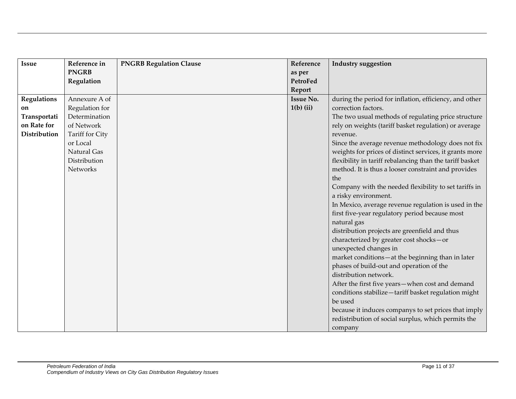| <b>Issue</b>       | Reference in    | <b>PNGRB Regulation Clause</b> | Reference        | <b>Industry suggestion</b>                               |
|--------------------|-----------------|--------------------------------|------------------|----------------------------------------------------------|
|                    | <b>PNGRB</b>    |                                | as per           |                                                          |
|                    | Regulation      |                                | PetroFed         |                                                          |
|                    |                 |                                | Report           |                                                          |
| <b>Regulations</b> | Annexure A of   |                                | <b>Issue No.</b> | during the period for inflation, efficiency, and other   |
| on                 | Regulation for  |                                | $1(b)$ (ii)      | correction factors.                                      |
| Transportati       | Determination   |                                |                  | The two usual methods of regulating price structure      |
| on Rate for        | of Network      |                                |                  | rely on weights (tariff basket regulation) or average    |
| Distribution       | Tariff for City |                                |                  | revenue.                                                 |
|                    | or Local        |                                |                  | Since the average revenue methodology does not fix       |
|                    | Natural Gas     |                                |                  | weights for prices of distinct services, it grants more  |
|                    | Distribution    |                                |                  | flexibility in tariff rebalancing than the tariff basket |
|                    | Networks        |                                |                  | method. It is thus a looser constraint and provides      |
|                    |                 |                                |                  | the                                                      |
|                    |                 |                                |                  | Company with the needed flexibility to set tariffs in    |
|                    |                 |                                |                  | a risky environment.                                     |
|                    |                 |                                |                  | In Mexico, average revenue regulation is used in the     |
|                    |                 |                                |                  | first five-year regulatory period because most           |
|                    |                 |                                |                  | natural gas                                              |
|                    |                 |                                |                  | distribution projects are greenfield and thus            |
|                    |                 |                                |                  | characterized by greater cost shocks-or                  |
|                    |                 |                                |                  | unexpected changes in                                    |
|                    |                 |                                |                  | market conditions-at the beginning than in later         |
|                    |                 |                                |                  | phases of build-out and operation of the                 |
|                    |                 |                                |                  | distribution network.                                    |
|                    |                 |                                |                  | After the first five years-when cost and demand          |
|                    |                 |                                |                  | conditions stabilize-tariff basket regulation might      |
|                    |                 |                                |                  | be used                                                  |
|                    |                 |                                |                  | because it induces companys to set prices that imply     |
|                    |                 |                                |                  | redistribution of social surplus, which permits the      |
|                    |                 |                                |                  | company                                                  |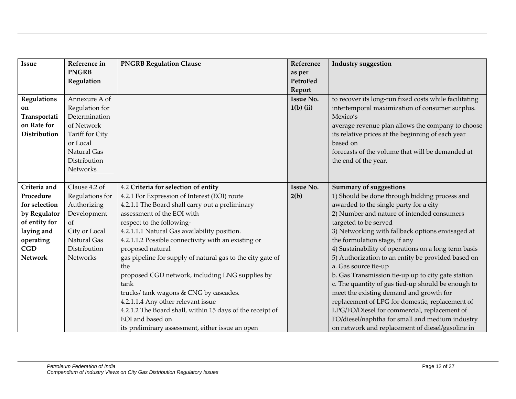| <b>Issue</b>       | Reference in    | <b>PNGRB Regulation Clause</b>                             | Reference        | <b>Industry suggestion</b>                             |
|--------------------|-----------------|------------------------------------------------------------|------------------|--------------------------------------------------------|
|                    | <b>PNGRB</b>    |                                                            | as per           |                                                        |
|                    | Regulation      |                                                            | PetroFed         |                                                        |
|                    |                 |                                                            | Report           |                                                        |
| <b>Regulations</b> | Annexure A of   |                                                            | <b>Issue No.</b> | to recover its long-run fixed costs while facilitating |
| on                 | Regulation for  |                                                            | $1(b)$ (ii)      | intertemporal maximization of consumer surplus.        |
| Transportati       | Determination   |                                                            |                  | Mexico's                                               |
| on Rate for        | of Network      |                                                            |                  | average revenue plan allows the company to choose      |
| Distribution       | Tariff for City |                                                            |                  | its relative prices at the beginning of each year      |
|                    | or Local        |                                                            |                  | based on                                               |
|                    | Natural Gas     |                                                            |                  | forecasts of the volume that will be demanded at       |
|                    | Distribution    |                                                            |                  | the end of the year.                                   |
|                    | Networks        |                                                            |                  |                                                        |
|                    |                 |                                                            |                  |                                                        |
| Criteria and       | Clause 4.2 of   | 4.2 Criteria for selection of entity                       | <b>Issue No.</b> | <b>Summary of suggestions</b>                          |
| Procedure          | Regulations for | 4.2.1 For Expression of Interest (EOI) route               | 2(b)             | 1) Should be done through bidding process and          |
| for selection      | Authorizing     | 4.2.1.1 The Board shall carry out a preliminary            |                  | awarded to the single party for a city                 |
| by Regulator       | Development     | assessment of the EOI with                                 |                  | 2) Number and nature of intended consumers             |
| of entity for      | of              | respect to the following-                                  |                  | targeted to be served                                  |
| laying and         | City or Local   | 4.2.1.1.1 Natural Gas availability position.               |                  | 3) Networking with fallback options envisaged at       |
| operating          | Natural Gas     | 4.2.1.1.2 Possible connectivity with an existing or        |                  | the formulation stage, if any                          |
| <b>CGD</b>         | Distribution    | proposed natural                                           |                  | 4) Sustainability of operations on a long term basis   |
| <b>Network</b>     | Networks        | gas pipeline for supply of natural gas to the city gate of |                  | 5) Authorization to an entity be provided based on     |
|                    |                 | the                                                        |                  | a. Gas source tie-up                                   |
|                    |                 | proposed CGD network, including LNG supplies by            |                  | b. Gas Transmission tie-up up to city gate station     |
|                    |                 | tank                                                       |                  | c. The quantity of gas tied-up should be enough to     |
|                    |                 | trucks/ tank wagons & CNG by cascades.                     |                  | meet the existing demand and growth for                |
|                    |                 | 4.2.1.1.4 Any other relevant issue                         |                  | replacement of LPG for domestic, replacement of        |
|                    |                 | 4.2.1.2 The Board shall, within 15 days of the receipt of  |                  | LPG/FO/Diesel for commercial, replacement of           |
|                    |                 | EOI and based on                                           |                  | FO/diesel/naphtha for small and medium industry        |
|                    |                 | its preliminary assessment, either issue an open           |                  | on network and replacement of diesel/gasoline in       |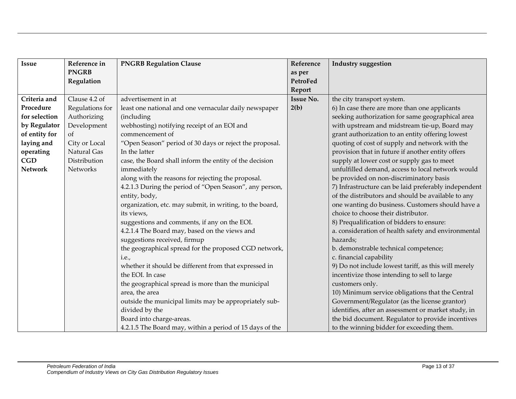| <b>Issue</b>   | Reference in    | <b>PNGRB Regulation Clause</b>                           | Reference        | <b>Industry suggestion</b>                           |
|----------------|-----------------|----------------------------------------------------------|------------------|------------------------------------------------------|
|                | <b>PNGRB</b>    |                                                          | as per           |                                                      |
|                | Regulation      |                                                          | PetroFed         |                                                      |
|                |                 |                                                          | Report           |                                                      |
| Criteria and   | Clause 4.2 of   | advertisement in at                                      | <b>Issue No.</b> | the city transport system.                           |
| Procedure      | Regulations for | least one national and one vernacular daily newspaper    | 2(b)             | 6) In case there are more than one applicants        |
| for selection  | Authorizing     | (including                                               |                  | seeking authorization for same geographical area     |
| by Regulator   | Development     | webhosting) notifying receipt of an EOI and              |                  | with upstream and midstream tie-up, Board may        |
| of entity for  | of              | commencement of                                          |                  | grant authorization to an entity offering lowest     |
| laying and     | City or Local   | "Open Season" period of 30 days or reject the proposal.  |                  | quoting of cost of supply and network with the       |
| operating      | Natural Gas     | In the latter                                            |                  | provision that in future if another entity offers    |
| CGD            | Distribution    | case, the Board shall inform the entity of the decision  |                  | supply at lower cost or supply gas to meet           |
| <b>Network</b> | Networks        | immediately                                              |                  | unfulfilled demand, access to local network would    |
|                |                 | along with the reasons for rejecting the proposal.       |                  | be provided on non-discriminatory basis              |
|                |                 | 4.2.1.3 During the period of "Open Season", any person,  |                  | 7) Infrastructure can be laid preferably independent |
|                |                 | entity, body,                                            |                  | of the distributors and should be available to any   |
|                |                 | organization, etc. may submit, in writing, to the board, |                  | one wanting do business. Customers should have a     |
|                |                 | its views,                                               |                  | choice to choose their distributor.                  |
|                |                 | suggestions and comments, if any on the EOI.             |                  | 8) Prequalification of bidders to ensure:            |
|                |                 | 4.2.1.4 The Board may, based on the views and            |                  | a. consideration of health safety and environmental  |
|                |                 | suggestions received, firmup                             |                  | hazards;                                             |
|                |                 | the geographical spread for the proposed CGD network,    |                  | b. demonstrable technical competence;                |
|                |                 | i.e.,                                                    |                  | c. financial capability                              |
|                |                 | whether it should be different from that expressed in    |                  | 9) Do not include lowest tariff, as this will merely |
|                |                 | the EOI. In case                                         |                  | incentivize those intending to sell to large         |
|                |                 | the geographical spread is more than the municipal       |                  | customers only.                                      |
|                |                 | area, the area                                           |                  | 10) Minimum service obligations that the Central     |
|                |                 | outside the municipal limits may be appropriately sub-   |                  | Government/Regulator (as the license grantor)        |
|                |                 | divided by the                                           |                  | identifies, after an assessment or market study, in  |
|                |                 | Board into charge-areas.                                 |                  | the bid document. Regulator to provide incentives    |
|                |                 | 4.2.1.5 The Board may, within a period of 15 days of the |                  | to the winning bidder for exceeding them.            |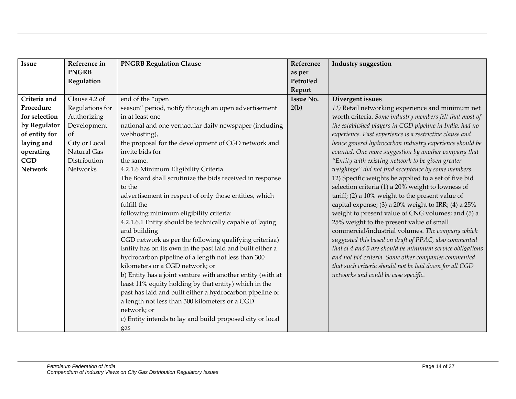| <b>Issue</b>   | Reference in    | <b>PNGRB Regulation Clause</b>                             | Reference        | <b>Industry suggestion</b>                                |
|----------------|-----------------|------------------------------------------------------------|------------------|-----------------------------------------------------------|
|                | <b>PNGRB</b>    |                                                            | as per           |                                                           |
|                | Regulation      |                                                            | PetroFed         |                                                           |
|                |                 |                                                            | Report           |                                                           |
| Criteria and   | Clause 4.2 of   | end of the "open                                           | <b>Issue No.</b> | Divergent issues                                          |
| Procedure      | Regulations for | season" period, notify through an open advertisement       | 2(b)             | 11) Retail networking experience and minimum net          |
| for selection  | Authorizing     | in at least one                                            |                  | worth criteria. Some industry members felt that most of   |
| by Regulator   | Development     | national and one vernacular daily newspaper (including     |                  | the established players in CGD pipeline in India, had no  |
| of entity for  | of              | webhosting),                                               |                  | experience. Past experience is a restrictive clause and   |
| laying and     | City or Local   | the proposal for the development of CGD network and        |                  | hence general hydrocarbon industry experience should be   |
| operating      | Natural Gas     | invite bids for                                            |                  | counted. One more suggestion by another company that      |
| CGD            | Distribution    | the same.                                                  |                  | "Entity with existing network to be given greater         |
| <b>Network</b> | Networks        | 4.2.1.6 Minimum Eligibility Criteria                       |                  | weightage" did not find acceptance by some members.       |
|                |                 | The Board shall scrutinize the bids received in response   |                  | 12) Specific weights be applied to a set of five bid      |
|                |                 | to the                                                     |                  | selection criteria (1) a 20% weight to lowness of         |
|                |                 | advertisement in respect of only those entities, which     |                  | tariff; $(2)$ a 10% weight to the present value of        |
|                |                 | fulfill the                                                |                  | capital expense; (3) a 20% weight to IRR; (4) a 25%       |
|                |                 | following minimum eligibility criteria:                    |                  | weight to present value of CNG volumes; and (5) a         |
|                |                 | 4.2.1.6.1 Entity should be technically capable of laying   |                  | 25% weight to the present value of small                  |
|                |                 | and building                                               |                  | commercial/industrial volumes. The company which          |
|                |                 | CGD network as per the following qualifying criteriaa)     |                  | suggested this based on draft of PPAC, also commented     |
|                |                 | Entity has on its own in the past laid and built either a  |                  | that sl 4 and 5 are should be minimum service obligations |
|                |                 | hydrocarbon pipeline of a length not less than 300         |                  | and not bid criteria. Some other companies commented      |
|                |                 | kilometers or a CGD network; or                            |                  | that such criteria should not be laid down for all CGD    |
|                |                 | b) Entity has a joint venture with another entity (with at |                  | networks and could be case specific.                      |
|                |                 | least 11% equity holding by that entity) which in the      |                  |                                                           |
|                |                 | past has laid and built either a hydrocarbon pipeline of   |                  |                                                           |
|                |                 | a length not less than 300 kilometers or a CGD             |                  |                                                           |
|                |                 | network; or                                                |                  |                                                           |
|                |                 | c) Entity intends to lay and build proposed city or local  |                  |                                                           |
|                |                 | gas                                                        |                  |                                                           |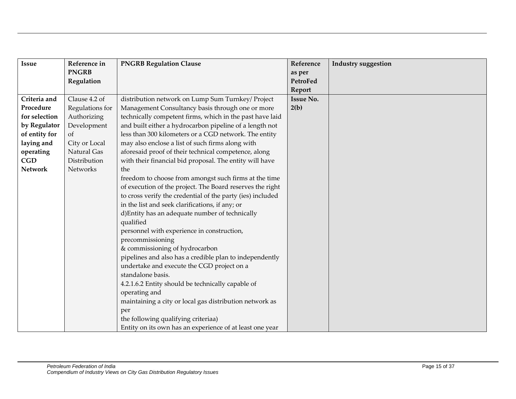| Issue          | Reference in    | <b>PNGRB Regulation Clause</b>                                                                                                                                                                                                                                                                      | Reference        | <b>Industry suggestion</b> |
|----------------|-----------------|-----------------------------------------------------------------------------------------------------------------------------------------------------------------------------------------------------------------------------------------------------------------------------------------------------|------------------|----------------------------|
|                | <b>PNGRB</b>    |                                                                                                                                                                                                                                                                                                     | as per           |                            |
|                | Regulation      |                                                                                                                                                                                                                                                                                                     | PetroFed         |                            |
|                |                 |                                                                                                                                                                                                                                                                                                     | Report           |                            |
| Criteria and   | Clause 4.2 of   | distribution network on Lump Sum Turnkey/ Project                                                                                                                                                                                                                                                   | <b>Issue No.</b> |                            |
| Procedure      | Regulations for | Management Consultancy basis through one or more                                                                                                                                                                                                                                                    | 2(b)             |                            |
| for selection  | Authorizing     | technically competent firms, which in the past have laid                                                                                                                                                                                                                                            |                  |                            |
| by Regulator   | Development     | and built either a hydrocarbon pipeline of a length not                                                                                                                                                                                                                                             |                  |                            |
| of entity for  | of              | less than 300 kilometers or a CGD network. The entity                                                                                                                                                                                                                                               |                  |                            |
| laying and     | City or Local   | may also enclose a list of such firms along with                                                                                                                                                                                                                                                    |                  |                            |
| operating      | Natural Gas     | aforesaid proof of their technical competence, along                                                                                                                                                                                                                                                |                  |                            |
| CGD            | Distribution    | with their financial bid proposal. The entity will have                                                                                                                                                                                                                                             |                  |                            |
| <b>Network</b> | Networks        | the                                                                                                                                                                                                                                                                                                 |                  |                            |
|                |                 | freedom to choose from amongst such firms at the time<br>of execution of the project. The Board reserves the right<br>to cross verify the credential of the party (ies) included<br>in the list and seek clarifications, if any; or<br>d) Entity has an adequate number of technically<br>qualified |                  |                            |
|                |                 | personnel with experience in construction,<br>precommissioning<br>& commissioning of hydrocarbon                                                                                                                                                                                                    |                  |                            |
|                |                 | pipelines and also has a credible plan to independently                                                                                                                                                                                                                                             |                  |                            |
|                |                 | undertake and execute the CGD project on a                                                                                                                                                                                                                                                          |                  |                            |
|                |                 | standalone basis.                                                                                                                                                                                                                                                                                   |                  |                            |
|                |                 | 4.2.1.6.2 Entity should be technically capable of                                                                                                                                                                                                                                                   |                  |                            |
|                |                 | operating and                                                                                                                                                                                                                                                                                       |                  |                            |
|                |                 | maintaining a city or local gas distribution network as                                                                                                                                                                                                                                             |                  |                            |
|                |                 | per                                                                                                                                                                                                                                                                                                 |                  |                            |
|                |                 | the following qualifying criteriaa)                                                                                                                                                                                                                                                                 |                  |                            |
|                |                 | Entity on its own has an experience of at least one year                                                                                                                                                                                                                                            |                  |                            |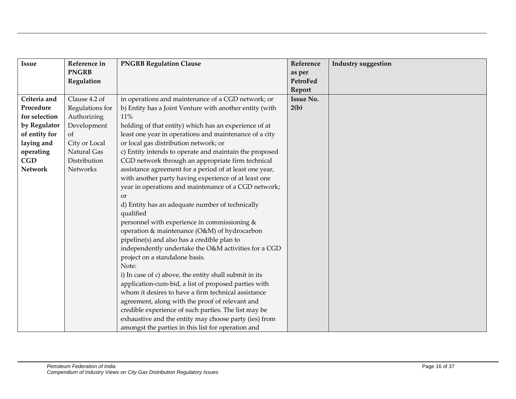| <b>Issue</b>   | Reference in    | <b>PNGRB Regulation Clause</b>                          | Reference        | <b>Industry suggestion</b> |
|----------------|-----------------|---------------------------------------------------------|------------------|----------------------------|
|                | <b>PNGRB</b>    |                                                         | as per           |                            |
|                | Regulation      |                                                         | PetroFed         |                            |
|                |                 |                                                         | Report           |                            |
| Criteria and   | Clause 4.2 of   | in operations and maintenance of a CGD network; or      | <b>Issue No.</b> |                            |
| Procedure      | Regulations for | b) Entity has a Joint Venture with another entity (with | 2(b)             |                            |
| for selection  | Authorizing     | 11%                                                     |                  |                            |
| by Regulator   | Development     | holding of that entity) which has an experience of at   |                  |                            |
| of entity for  | of              | least one year in operations and maintenance of a city  |                  |                            |
| laying and     | City or Local   | or local gas distribution network; or                   |                  |                            |
| operating      | Natural Gas     | c) Entity intends to operate and maintain the proposed  |                  |                            |
| CGD            | Distribution    | CGD network through an appropriate firm technical       |                  |                            |
| <b>Network</b> | Networks        | assistance agreement for a period of at least one year, |                  |                            |
|                |                 | with another party having experience of at least one    |                  |                            |
|                |                 | year in operations and maintenance of a CGD network;    |                  |                            |
|                |                 | <b>or</b>                                               |                  |                            |
|                |                 | d) Entity has an adequate number of technically         |                  |                            |
|                |                 | qualified                                               |                  |                            |
|                |                 | personnel with experience in commissioning &            |                  |                            |
|                |                 | operation & maintenance (O&M) of hydrocarbon            |                  |                            |
|                |                 | pipeline(s) and also has a credible plan to             |                  |                            |
|                |                 | independently undertake the O&M activities for a CGD    |                  |                            |
|                |                 | project on a standalone basis.                          |                  |                            |
|                |                 | Note:                                                   |                  |                            |
|                |                 | i) In case of c) above, the entity shall submit in its  |                  |                            |
|                |                 | application-cum-bid, a list of proposed parties with    |                  |                            |
|                |                 | whom it desires to have a firm technical assistance     |                  |                            |
|                |                 | agreement, along with the proof of relevant and         |                  |                            |
|                |                 | credible experience of such parties. The list may be    |                  |                            |
|                |                 | exhaustive and the entity may choose party (ies) from   |                  |                            |
|                |                 | amongst the parties in this list for operation and      |                  |                            |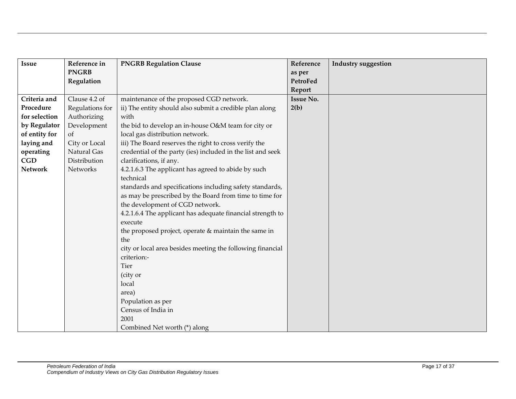| <b>Issue</b>   | Reference in    | <b>PNGRB Regulation Clause</b>                              | Reference        | <b>Industry suggestion</b> |
|----------------|-----------------|-------------------------------------------------------------|------------------|----------------------------|
|                | <b>PNGRB</b>    |                                                             | as per           |                            |
|                | Regulation      |                                                             | PetroFed         |                            |
|                |                 |                                                             | Report           |                            |
| Criteria and   | Clause 4.2 of   | maintenance of the proposed CGD network.                    | <b>Issue No.</b> |                            |
| Procedure      | Regulations for | ii) The entity should also submit a credible plan along     | 2(b)             |                            |
| for selection  | Authorizing     | with                                                        |                  |                            |
| by Regulator   | Development     | the bid to develop an in-house O&M team for city or         |                  |                            |
| of entity for  | of              | local gas distribution network.                             |                  |                            |
| laying and     | City or Local   | iii) The Board reserves the right to cross verify the       |                  |                            |
| operating      | Natural Gas     | credential of the party (ies) included in the list and seek |                  |                            |
| CGD            | Distribution    | clarifications, if any.                                     |                  |                            |
| <b>Network</b> | Networks        | 4.2.1.6.3 The applicant has agreed to abide by such         |                  |                            |
|                |                 | technical                                                   |                  |                            |
|                |                 | standards and specifications including safety standards,    |                  |                            |
|                |                 | as may be prescribed by the Board from time to time for     |                  |                            |
|                |                 | the development of CGD network.                             |                  |                            |
|                |                 | 4.2.1.6.4 The applicant has adequate financial strength to  |                  |                            |
|                |                 | execute                                                     |                  |                            |
|                |                 | the proposed project, operate & maintain the same in        |                  |                            |
|                |                 | the                                                         |                  |                            |
|                |                 | city or local area besides meeting the following financial  |                  |                            |
|                |                 | criterion:-                                                 |                  |                            |
|                |                 | <b>Tier</b>                                                 |                  |                            |
|                |                 | (city or                                                    |                  |                            |
|                |                 | local                                                       |                  |                            |
|                |                 | area)                                                       |                  |                            |
|                |                 | Population as per                                           |                  |                            |
|                |                 | Census of India in                                          |                  |                            |
|                |                 | 2001                                                        |                  |                            |
|                |                 | Combined Net worth (*) along                                |                  |                            |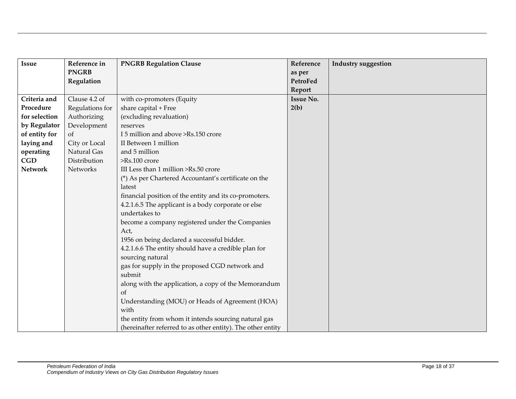| Issue          | Reference in    | <b>PNGRB Regulation Clause</b>                                           | Reference        | <b>Industry suggestion</b> |
|----------------|-----------------|--------------------------------------------------------------------------|------------------|----------------------------|
|                | <b>PNGRB</b>    |                                                                          | as per           |                            |
|                | Regulation      |                                                                          | PetroFed         |                            |
|                |                 |                                                                          | Report           |                            |
| Criteria and   | Clause 4.2 of   | with co-promoters (Equity                                                | <b>Issue No.</b> |                            |
| Procedure      | Regulations for | share capital + Free                                                     | 2(b)             |                            |
| for selection  | Authorizing     | (excluding revaluation)                                                  |                  |                            |
| by Regulator   | Development     | reserves                                                                 |                  |                            |
| of entity for  | of              | I 5 million and above >Rs.150 crore                                      |                  |                            |
| laying and     | City or Local   | II Between 1 million                                                     |                  |                            |
| operating      | Natural Gas     | and 5 million                                                            |                  |                            |
| CGD            | Distribution    | >Rs.100 crore                                                            |                  |                            |
| <b>Network</b> | Networks        | III Less than 1 million >Rs.50 crore                                     |                  |                            |
|                |                 | (*) As per Chartered Accountant's certificate on the                     |                  |                            |
|                |                 | latest                                                                   |                  |                            |
|                |                 | financial position of the entity and its co-promoters.                   |                  |                            |
|                |                 | 4.2.1.6.5 The applicant is a body corporate or else                      |                  |                            |
|                |                 | undertakes to                                                            |                  |                            |
|                |                 | become a company registered under the Companies                          |                  |                            |
|                |                 | Act,                                                                     |                  |                            |
|                |                 | 1956 on being declared a successful bidder.                              |                  |                            |
|                |                 | 4.2.1.6.6 The entity should have a credible plan for<br>sourcing natural |                  |                            |
|                |                 | gas for supply in the proposed CGD network and                           |                  |                            |
|                |                 | submit                                                                   |                  |                            |
|                |                 | along with the application, a copy of the Memorandum                     |                  |                            |
|                |                 | <sub>of</sub>                                                            |                  |                            |
|                |                 | Understanding (MOU) or Heads of Agreement (HOA)                          |                  |                            |
|                |                 | with                                                                     |                  |                            |
|                |                 | the entity from whom it intends sourcing natural gas                     |                  |                            |
|                |                 | (hereinafter referred to as other entity). The other entity              |                  |                            |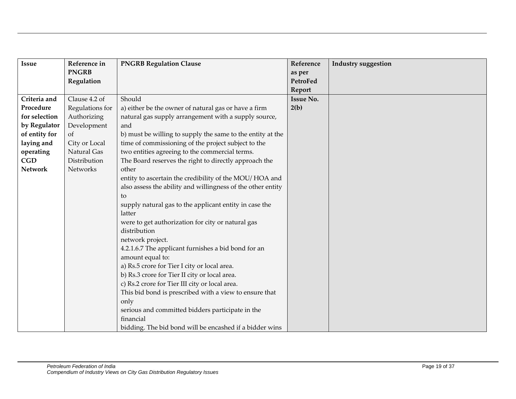| <b>Issue</b>   | Reference in    | <b>PNGRB Regulation Clause</b>                              | Reference        | <b>Industry suggestion</b> |
|----------------|-----------------|-------------------------------------------------------------|------------------|----------------------------|
|                | <b>PNGRB</b>    |                                                             | as per           |                            |
|                | Regulation      |                                                             | PetroFed         |                            |
|                |                 |                                                             | Report           |                            |
| Criteria and   | Clause 4.2 of   | Should                                                      | <b>Issue No.</b> |                            |
| Procedure      | Regulations for | a) either be the owner of natural gas or have a firm        | 2(b)             |                            |
| for selection  | Authorizing     | natural gas supply arrangement with a supply source,        |                  |                            |
| by Regulator   | Development     | and                                                         |                  |                            |
| of entity for  | of              | b) must be willing to supply the same to the entity at the  |                  |                            |
| laying and     | City or Local   | time of commissioning of the project subject to the         |                  |                            |
| operating      | Natural Gas     | two entities agreeing to the commercial terms.              |                  |                            |
| <b>CGD</b>     | Distribution    | The Board reserves the right to directly approach the       |                  |                            |
| <b>Network</b> | Networks        | other                                                       |                  |                            |
|                |                 | entity to ascertain the credibility of the MOU/HOA and      |                  |                            |
|                |                 | also assess the ability and willingness of the other entity |                  |                            |
|                |                 | to                                                          |                  |                            |
|                |                 | supply natural gas to the applicant entity in case the      |                  |                            |
|                |                 | latter                                                      |                  |                            |
|                |                 | were to get authorization for city or natural gas           |                  |                            |
|                |                 | distribution                                                |                  |                            |
|                |                 | network project.                                            |                  |                            |
|                |                 | 4.2.1.6.7 The applicant furnishes a bid bond for an         |                  |                            |
|                |                 | amount equal to:                                            |                  |                            |
|                |                 | a) Rs.5 crore for Tier I city or local area.                |                  |                            |
|                |                 | b) Rs.3 crore for Tier II city or local area.               |                  |                            |
|                |                 | c) Rs.2 crore for Tier III city or local area.              |                  |                            |
|                |                 | This bid bond is prescribed with a view to ensure that      |                  |                            |
|                |                 | only                                                        |                  |                            |
|                |                 | serious and committed bidders participate in the            |                  |                            |
|                |                 | financial                                                   |                  |                            |
|                |                 | bidding. The bid bond will be encashed if a bidder wins     |                  |                            |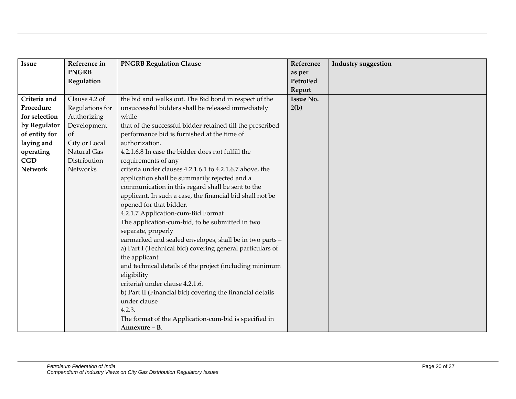| <b>Issue</b>   | Reference in    | <b>PNGRB Regulation Clause</b>                             | Reference        | <b>Industry suggestion</b> |
|----------------|-----------------|------------------------------------------------------------|------------------|----------------------------|
|                | <b>PNGRB</b>    |                                                            | as per           |                            |
|                | Regulation      |                                                            | PetroFed         |                            |
|                |                 |                                                            | Report           |                            |
| Criteria and   | Clause 4.2 of   | the bid and walks out. The Bid bond in respect of the      | <b>Issue No.</b> |                            |
| Procedure      | Regulations for | unsuccessful bidders shall be released immediately         | 2(b)             |                            |
| for selection  | Authorizing     | while                                                      |                  |                            |
| by Regulator   | Development     | that of the successful bidder retained till the prescribed |                  |                            |
| of entity for  | of              | performance bid is furnished at the time of                |                  |                            |
| laying and     | City or Local   | authorization.                                             |                  |                            |
| operating      | Natural Gas     | 4.2.1.6.8 In case the bidder does not fulfill the          |                  |                            |
| CGD            | Distribution    | requirements of any                                        |                  |                            |
| <b>Network</b> | Networks        | criteria under clauses 4.2.1.6.1 to 4.2.1.6.7 above, the   |                  |                            |
|                |                 | application shall be summarily rejected and a              |                  |                            |
|                |                 | communication in this regard shall be sent to the          |                  |                            |
|                |                 | applicant. In such a case, the financial bid shall not be  |                  |                            |
|                |                 | opened for that bidder.                                    |                  |                            |
|                |                 | 4.2.1.7 Application-cum-Bid Format                         |                  |                            |
|                |                 | The application-cum-bid, to be submitted in two            |                  |                            |
|                |                 | separate, properly                                         |                  |                            |
|                |                 | earmarked and sealed envelopes, shall be in two parts -    |                  |                            |
|                |                 | a) Part I (Technical bid) covering general particulars of  |                  |                            |
|                |                 | the applicant                                              |                  |                            |
|                |                 | and technical details of the project (including minimum    |                  |                            |
|                |                 | eligibility                                                |                  |                            |
|                |                 | criteria) under clause 4.2.1.6.                            |                  |                            |
|                |                 | b) Part II (Financial bid) covering the financial details  |                  |                            |
|                |                 | under clause                                               |                  |                            |
|                |                 | 4.2.3.                                                     |                  |                            |
|                |                 | The format of the Application-cum-bid is specified in      |                  |                            |
|                |                 | Annexure - B.                                              |                  |                            |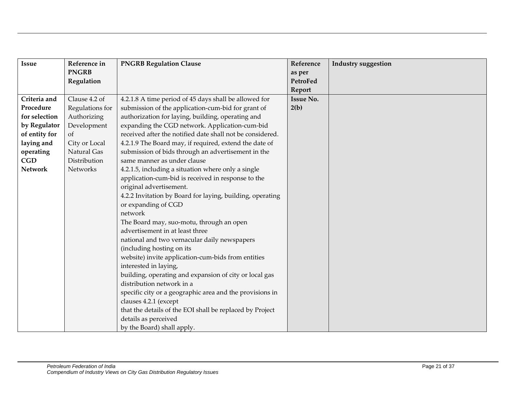| <b>Issue</b>   | Reference in    | <b>PNGRB Regulation Clause</b>                            | Reference        | <b>Industry suggestion</b> |
|----------------|-----------------|-----------------------------------------------------------|------------------|----------------------------|
|                | <b>PNGRB</b>    |                                                           | as per           |                            |
|                | Regulation      |                                                           | PetroFed         |                            |
|                |                 |                                                           | Report           |                            |
| Criteria and   | Clause 4.2 of   | 4.2.1.8 A time period of 45 days shall be allowed for     | <b>Issue No.</b> |                            |
| Procedure      | Regulations for | submission of the application-cum-bid for grant of        | 2(b)             |                            |
| for selection  | Authorizing     | authorization for laying, building, operating and         |                  |                            |
| by Regulator   | Development     | expanding the CGD network. Application-cum-bid            |                  |                            |
| of entity for  | of              | received after the notified date shall not be considered. |                  |                            |
| laying and     | City or Local   | 4.2.1.9 The Board may, if required, extend the date of    |                  |                            |
| operating      | Natural Gas     | submission of bids through an advertisement in the        |                  |                            |
| <b>CGD</b>     | Distribution    | same manner as under clause                               |                  |                            |
| <b>Network</b> | Networks        | 4.2.1.5, including a situation where only a single        |                  |                            |
|                |                 | application-cum-bid is received in response to the        |                  |                            |
|                |                 | original advertisement.                                   |                  |                            |
|                |                 | 4.2.2 Invitation by Board for laying, building, operating |                  |                            |
|                |                 | or expanding of CGD                                       |                  |                            |
|                |                 | network                                                   |                  |                            |
|                |                 | The Board may, suo-motu, through an open                  |                  |                            |
|                |                 | advertisement in at least three                           |                  |                            |
|                |                 | national and two vernacular daily newspapers              |                  |                            |
|                |                 | (including hosting on its                                 |                  |                            |
|                |                 | website) invite application-cum-bids from entities        |                  |                            |
|                |                 | interested in laying,                                     |                  |                            |
|                |                 | building, operating and expansion of city or local gas    |                  |                            |
|                |                 | distribution network in a                                 |                  |                            |
|                |                 | specific city or a geographic area and the provisions in  |                  |                            |
|                |                 | clauses 4.2.1 (except                                     |                  |                            |
|                |                 | that the details of the EOI shall be replaced by Project  |                  |                            |
|                |                 | details as perceived                                      |                  |                            |
|                |                 | by the Board) shall apply.                                |                  |                            |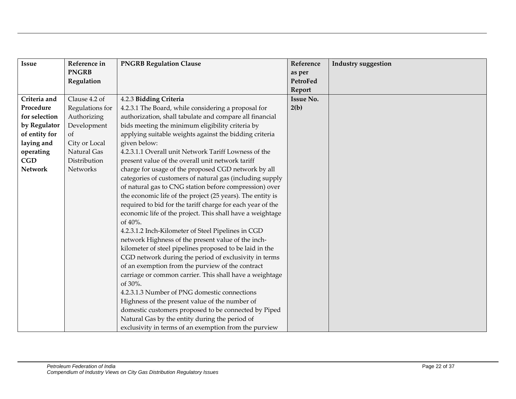| <b>Issue</b>   | Reference in    | <b>PNGRB Regulation Clause</b>                             | Reference        | <b>Industry suggestion</b> |
|----------------|-----------------|------------------------------------------------------------|------------------|----------------------------|
|                | <b>PNGRB</b>    |                                                            | as per           |                            |
|                | Regulation      |                                                            | PetroFed         |                            |
|                |                 |                                                            | Report           |                            |
| Criteria and   | Clause 4.2 of   | 4.2.3 Bidding Criteria                                     | <b>Issue No.</b> |                            |
| Procedure      | Regulations for | 4.2.3.1 The Board, while considering a proposal for        | 2(b)             |                            |
| for selection  | Authorizing     | authorization, shall tabulate and compare all financial    |                  |                            |
| by Regulator   | Development     | bids meeting the minimum eligibility criteria by           |                  |                            |
| of entity for  | <sub>of</sub>   | applying suitable weights against the bidding criteria     |                  |                            |
| laying and     | City or Local   | given below:                                               |                  |                            |
| operating      | Natural Gas     | 4.2.3.1.1 Overall unit Network Tariff Lowness of the       |                  |                            |
| CGD            | Distribution    | present value of the overall unit network tariff           |                  |                            |
| <b>Network</b> | Networks        | charge for usage of the proposed CGD network by all        |                  |                            |
|                |                 | categories of customers of natural gas (including supply   |                  |                            |
|                |                 | of natural gas to CNG station before compression) over     |                  |                            |
|                |                 | the economic life of the project (25 years). The entity is |                  |                            |
|                |                 | required to bid for the tariff charge for each year of the |                  |                            |
|                |                 | economic life of the project. This shall have a weightage  |                  |                            |
|                |                 | of 40%.                                                    |                  |                            |
|                |                 | 4.2.3.1.2 Inch-Kilometer of Steel Pipelines in CGD         |                  |                            |
|                |                 | network Highness of the present value of the inch-         |                  |                            |
|                |                 | kilometer of steel pipelines proposed to be laid in the    |                  |                            |
|                |                 | CGD network during the period of exclusivity in terms      |                  |                            |
|                |                 | of an exemption from the purview of the contract           |                  |                            |
|                |                 | carriage or common carrier. This shall have a weightage    |                  |                            |
|                |                 | of 30%.                                                    |                  |                            |
|                |                 | 4.2.3.1.3 Number of PNG domestic connections               |                  |                            |
|                |                 | Highness of the present value of the number of             |                  |                            |
|                |                 | domestic customers proposed to be connected by Piped       |                  |                            |
|                |                 | Natural Gas by the entity during the period of             |                  |                            |
|                |                 | exclusivity in terms of an exemption from the purview      |                  |                            |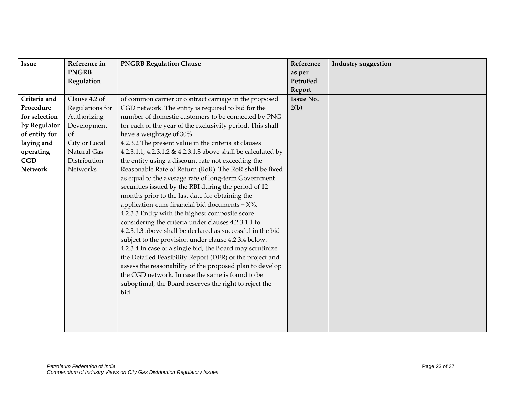| <b>Issue</b>   | Reference in    | <b>PNGRB Regulation Clause</b>                                | Reference        | <b>Industry suggestion</b> |
|----------------|-----------------|---------------------------------------------------------------|------------------|----------------------------|
|                | <b>PNGRB</b>    |                                                               | as per           |                            |
|                | Regulation      |                                                               | PetroFed         |                            |
|                |                 |                                                               | Report           |                            |
| Criteria and   | Clause 4.2 of   | of common carrier or contract carriage in the proposed        | <b>Issue No.</b> |                            |
| Procedure      | Regulations for | CGD network. The entity is required to bid for the            | 2(b)             |                            |
| for selection  | Authorizing     | number of domestic customers to be connected by PNG           |                  |                            |
| by Regulator   | Development     | for each of the year of the exclusivity period. This shall    |                  |                            |
| of entity for  | <sub>of</sub>   | have a weightage of 30%.                                      |                  |                            |
| laying and     | City or Local   | 4.2.3.2 The present value in the criteria at clauses          |                  |                            |
| operating      | Natural Gas     | 4.2.3.1.1, 4.2.3.1.2 & 4.2.3.1.3 above shall be calculated by |                  |                            |
| CGD            | Distribution    | the entity using a discount rate not exceeding the            |                  |                            |
| <b>Network</b> | Networks        | Reasonable Rate of Return (RoR). The RoR shall be fixed       |                  |                            |
|                |                 | as equal to the average rate of long-term Government          |                  |                            |
|                |                 | securities issued by the RBI during the period of 12          |                  |                            |
|                |                 | months prior to the last date for obtaining the               |                  |                            |
|                |                 | application-cum-financial bid documents + $X$ %.              |                  |                            |
|                |                 | 4.2.3.3 Entity with the highest composite score               |                  |                            |
|                |                 | considering the criteria under clauses 4.2.3.1.1 to           |                  |                            |
|                |                 | 4.2.3.1.3 above shall be declared as successful in the bid    |                  |                            |
|                |                 | subject to the provision under clause 4.2.3.4 below.          |                  |                            |
|                |                 | 4.2.3.4 In case of a single bid, the Board may scrutinize     |                  |                            |
|                |                 | the Detailed Feasibility Report (DFR) of the project and      |                  |                            |
|                |                 | assess the reasonability of the proposed plan to develop      |                  |                            |
|                |                 | the CGD network. In case the same is found to be              |                  |                            |
|                |                 | suboptimal, the Board reserves the right to reject the        |                  |                            |
|                |                 | bid.                                                          |                  |                            |
|                |                 |                                                               |                  |                            |
|                |                 |                                                               |                  |                            |
|                |                 |                                                               |                  |                            |
|                |                 |                                                               |                  |                            |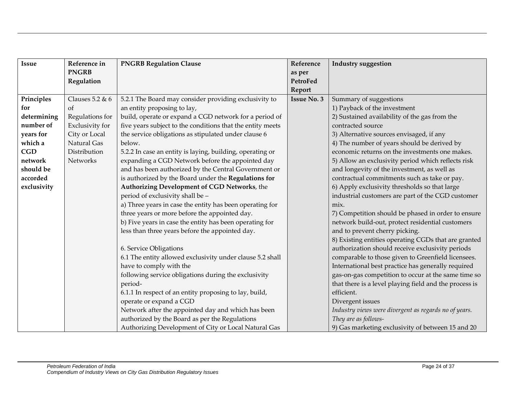| <b>Issue</b> | Reference in           | <b>PNGRB Regulation Clause</b>                             | Reference          | <b>Industry suggestion</b>                             |
|--------------|------------------------|------------------------------------------------------------|--------------------|--------------------------------------------------------|
|              | <b>PNGRB</b>           |                                                            | as per             |                                                        |
|              | Regulation             |                                                            | PetroFed           |                                                        |
|              |                        |                                                            | Report             |                                                        |
| Principles   | Clauses $5.2 \& 6$     | 5.2.1 The Board may consider providing exclusivity to      | <b>Issue No. 3</b> | Summary of suggestions                                 |
| for          | $\alpha$               | an entity proposing to lay,                                |                    | 1) Payback of the investment                           |
| determining  | Regulations for        | build, operate or expand a CGD network for a period of     |                    | 2) Sustained availability of the gas from the          |
| number of    | <b>Exclusivity</b> for | five years subject to the conditions that the entity meets |                    | contracted source                                      |
| years for    | City or Local          | the service obligations as stipulated under clause 6       |                    | 3) Alternative sources envisaged, if any               |
| which a      | Natural Gas            | below.                                                     |                    | 4) The number of years should be derived by            |
| <b>CGD</b>   | Distribution           | 5.2.2 In case an entity is laying, building, operating or  |                    | economic returns on the investments one makes.         |
| network      | Networks               | expanding a CGD Network before the appointed day           |                    | 5) Allow an exclusivity period which reflects risk     |
| should be    |                        | and has been authorized by the Central Government or       |                    | and longevity of the investment, as well as            |
| accorded     |                        | is authorized by the Board under the Regulations for       |                    | contractual commitments such as take or pay.           |
| exclusivity  |                        | Authorizing Development of CGD Networks, the               |                    | 6) Apply exclusivity thresholds so that large          |
|              |                        | period of exclusivity shall be -                           |                    | industrial customers are part of the CGD customer      |
|              |                        | a) Three years in case the entity has been operating for   |                    | mix.                                                   |
|              |                        | three years or more before the appointed day.              |                    | 7) Competition should be phased in order to ensure     |
|              |                        | b) Five years in case the entity has been operating for    |                    | network build-out, protect residential customers       |
|              |                        | less than three years before the appointed day.            |                    | and to prevent cherry picking.                         |
|              |                        |                                                            |                    | 8) Existing entities operating CGDs that are granted   |
|              |                        | 6. Service Obligations                                     |                    | authorization should receive exclusivity periods       |
|              |                        | 6.1 The entity allowed exclusivity under clause 5.2 shall  |                    | comparable to those given to Greenfield licensees.     |
|              |                        | have to comply with the                                    |                    | International best practice has generally required     |
|              |                        | following service obligations during the exclusivity       |                    | gas-on-gas competition to occur at the same time so    |
|              |                        | period-                                                    |                    | that there is a level playing field and the process is |
|              |                        | 6.1.1 In respect of an entity proposing to lay, build,     |                    | efficient.                                             |
|              |                        | operate or expand a CGD                                    |                    | Divergent issues                                       |
|              |                        | Network after the appointed day and which has been         |                    | Industry views were divergent as regards no of years.  |
|              |                        | authorized by the Board as per the Regulations             |                    | They are as follows-                                   |
|              |                        | Authorizing Development of City or Local Natural Gas       |                    | 9) Gas marketing exclusivity of between 15 and 20      |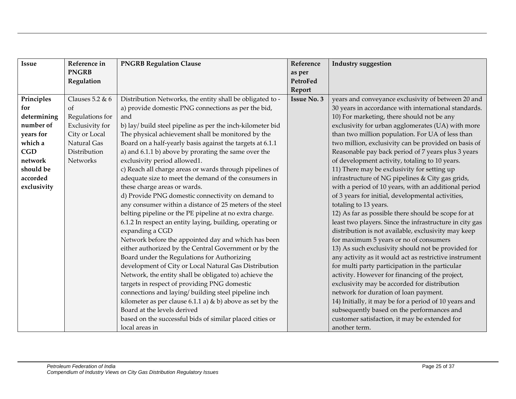| <b>Issue</b> | Reference in       | <b>PNGRB Regulation Clause</b>                               | Reference          | <b>Industry suggestion</b>                              |
|--------------|--------------------|--------------------------------------------------------------|--------------------|---------------------------------------------------------|
|              | <b>PNGRB</b>       |                                                              | as per             |                                                         |
|              | Regulation         |                                                              | PetroFed           |                                                         |
|              |                    |                                                              | Report             |                                                         |
| Principles   | Clauses $5.2 \& 6$ | Distribution Networks, the entity shall be obligated to -    | <b>Issue No. 3</b> | years and conveyance exclusivity of between 20 and      |
| for          | of                 | a) provide domestic PNG connections as per the bid,          |                    | 30 years in accordance with international standards.    |
| determining  | Regulations for    | and                                                          |                    | 10) For marketing, there should not be any              |
| number of    | Exclusivity for    | b) lay/ build steel pipeline as per the inch-kilometer bid   |                    | exclusivity for urban agglomerates (UA) with more       |
| years for    | City or Local      | The physical achievement shall be monitored by the           |                    | than two million population. For UA of less than        |
| which a      | Natural Gas        | Board on a half-yearly basis against the targets at 6.1.1    |                    | two million, exclusivity can be provided on basis of    |
| <b>CGD</b>   | Distribution       | a) and 6.1.1 b) above by prorating the same over the         |                    | Reasonable pay back period of 7 years plus 3 years      |
| network      | <b>Networks</b>    | exclusivity period allowed1.                                 |                    | of development activity, totaling to 10 years.          |
| should be    |                    | c) Reach all charge areas or wards through pipelines of      |                    | 11) There may be exclusivity for setting up             |
| accorded     |                    | adequate size to meet the demand of the consumers in         |                    | infrastructure of NG pipelines & City gas grids,        |
| exclusivity  |                    | these charge areas or wards.                                 |                    | with a period of 10 years, with an additional period    |
|              |                    | d) Provide PNG domestic connectivity on demand to            |                    | of 3 years for initial, developmental activities,       |
|              |                    | any consumer within a distance of 25 meters of the steel     |                    | totaling to 13 years.                                   |
|              |                    | belting pipeline or the PE pipeline at no extra charge.      |                    | 12) As far as possible there should be scope for at     |
|              |                    | 6.1.2 In respect an entity laying, building, operating or    |                    | least two players. Since the infrastructure in city gas |
|              |                    | expanding a CGD                                              |                    | distribution is not available, exclusivity may keep     |
|              |                    | Network before the appointed day and which has been          |                    | for maximum 5 years or no of consumers                  |
|              |                    | either authorized by the Central Government or by the        |                    | 13) As such exclusivity should not be provided for      |
|              |                    | Board under the Regulations for Authorizing                  |                    | any activity as it would act as restrictive instrument  |
|              |                    | development of City or Local Natural Gas Distribution        |                    | for multi party participation in the particular         |
|              |                    | Network, the entity shall be obligated to) achieve the       |                    | activity. However for financing of the project,         |
|              |                    | targets in respect of providing PNG domestic                 |                    | exclusivity may be accorded for distribution            |
|              |                    | connections and laying/ building steel pipeline inch         |                    | network for duration of loan payment.                   |
|              |                    | kilometer as per clause 6.1.1 a) $\&$ b) above as set by the |                    | 14) Initially, it may be for a period of 10 years and   |
|              |                    | Board at the levels derived                                  |                    | subsequently based on the performances and              |
|              |                    | based on the successful bids of similar placed cities or     |                    | customer satisfaction, it may be extended for           |
|              |                    | local areas in                                               |                    | another term.                                           |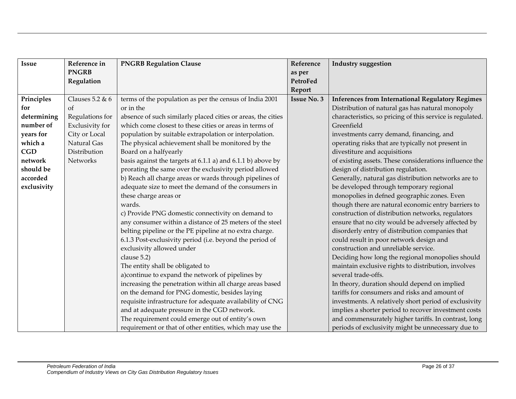| <b>Issue</b> | Reference in       | <b>PNGRB Regulation Clause</b>                               | Reference          | <b>Industry suggestion</b>                                |
|--------------|--------------------|--------------------------------------------------------------|--------------------|-----------------------------------------------------------|
|              | <b>PNGRB</b>       |                                                              | as per             |                                                           |
|              | Regulation         |                                                              | PetroFed           |                                                           |
|              |                    |                                                              | Report             |                                                           |
| Principles   | Clauses $5.2 \& 6$ | terms of the population as per the census of India 2001      | <b>Issue No. 3</b> | <b>Inferences from International Regulatory Regimes</b>   |
| for          | $\alpha$           | or in the                                                    |                    | Distribution of natural gas has natural monopoly          |
| determining  | Regulations for    | absence of such similarly placed cities or areas, the cities |                    | characteristics, so pricing of this service is regulated. |
| number of    | Exclusivity for    | which come closest to these cities or areas in terms of      |                    | Greenfield                                                |
| years for    | City or Local      | population by suitable extrapolation or interpolation.       |                    | investments carry demand, financing, and                  |
| which a      | Natural Gas        | The physical achievement shall be monitored by the           |                    | operating risks that are typically not present in         |
| <b>CGD</b>   | Distribution       | Board on a halfyearly                                        |                    | divestiture and acquisitions                              |
| network      | Networks           | basis against the targets at 6.1.1 a) and 6.1.1 b) above by  |                    | of existing assets. These considerations influence the    |
| should be    |                    | prorating the same over the exclusivity period allowed       |                    | design of distribution regulation.                        |
| accorded     |                    | b) Reach all charge areas or wards through pipelines of      |                    | Generally, natural gas distribution networks are to       |
| exclusivity  |                    | adequate size to meet the demand of the consumers in         |                    | be developed through temporary regional                   |
|              |                    | these charge areas or                                        |                    | monopolies in defned geographic zones. Even               |
|              |                    | wards.                                                       |                    | though there are natural economic entry barriers to       |
|              |                    | c) Provide PNG domestic connectivity on demand to            |                    | construction of distribution networks, regulators         |
|              |                    | any consumer within a distance of 25 meters of the steel     |                    | ensure that no city would be adversely affected by        |
|              |                    | belting pipeline or the PE pipeline at no extra charge.      |                    | disorderly entry of distribution companies that           |
|              |                    | 6.1.3 Post-exclusivity period (i.e. beyond the period of     |                    | could result in poor network design and                   |
|              |                    | exclusivity allowed under                                    |                    | construction and unreliable service.                      |
|              |                    | clause 5.2)                                                  |                    | Deciding how long the regional monopolies should          |
|              |                    | The entity shall be obligated to                             |                    | maintain exclusive rights to distribution, involves       |
|              |                    | a) continue to expand the network of pipelines by            |                    | several trade-offs.                                       |
|              |                    | increasing the penetration within all charge areas based     |                    | In theory, duration should depend on implied              |
|              |                    | on the demand for PNG domestic, besides laying               |                    | tariffs for consumers and risks and amount of             |
|              |                    | requisite infrastructure for adequate availability of CNG    |                    | investments. A relatively short period of exclusivity     |
|              |                    | and at adequate pressure in the CGD network.                 |                    | implies a shorter period to recover investment costs      |
|              |                    | The requirement could emerge out of entity's own             |                    | and commensurately higher tariffs. In contrast, long      |
|              |                    | requirement or that of other entities, which may use the     |                    | periods of exclusivity might be unnecessary due to        |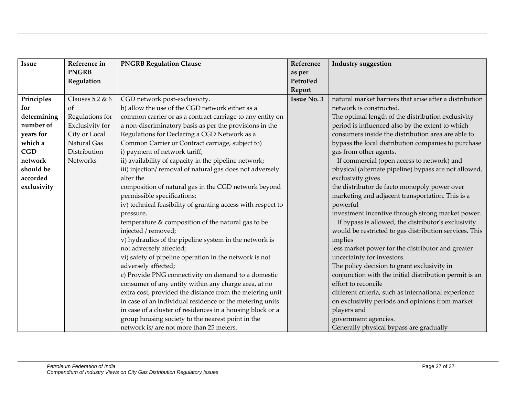| <b>Issue</b> | Reference in    | <b>PNGRB Regulation Clause</b>                               | Reference          | <b>Industry suggestion</b>                              |
|--------------|-----------------|--------------------------------------------------------------|--------------------|---------------------------------------------------------|
|              | <b>PNGRB</b>    |                                                              | as per             |                                                         |
|              | Regulation      |                                                              | PetroFed           |                                                         |
|              |                 |                                                              | Report             |                                                         |
| Principles   | Clauses 5.2 & 6 | CGD network post-exclusivity.                                | <b>Issue No. 3</b> | natural market barriers that arise after a distribution |
| for          | $\alpha$        | b) allow the use of the CGD network either as a              |                    | network is constructed.                                 |
| determining  | Regulations for | common carrier or as a contract carriage to any entity on    |                    | The optimal length of the distribution exclusivity      |
| number of    | Exclusivity for | a non-discriminatory basis as per the provisions in the      |                    | period is influenced also by the extent to which        |
| years for    | City or Local   | Regulations for Declaring a CGD Network as a                 |                    | consumers inside the distribution area are able to      |
| which a      | Natural Gas     | Common Carrier or Contract carriage, subject to)             |                    | bypass the local distribution companies to purchase     |
| <b>CGD</b>   | Distribution    | i) payment of network tariff;                                |                    | gas from other agents.                                  |
| network      | Networks        | ii) availability of capacity in the pipeline network;        |                    | If commercial (open access to network) and              |
| should be    |                 | iii) injection/removal of natural gas does not adversely     |                    | physical (alternate pipeline) bypass are not allowed,   |
| accorded     |                 | alter the                                                    |                    | exclusivity gives                                       |
| exclusivity  |                 | composition of natural gas in the CGD network beyond         |                    | the distributor de facto monopoly power over            |
|              |                 | permissible specifications;                                  |                    | marketing and adjacent transportation. This is a        |
|              |                 | iv) technical feasibility of granting access with respect to |                    | powerful                                                |
|              |                 | pressure,                                                    |                    | investment incentive through strong market power.       |
|              |                 | temperature & composition of the natural gas to be           |                    | If bypass is allowed, the distributor's exclusivity     |
|              |                 | injected / removed;                                          |                    | would be restricted to gas distribution services. This  |
|              |                 | v) hydraulics of the pipeline system in the network is       |                    | implies                                                 |
|              |                 | not adversely affected;                                      |                    | less market power for the distributor and greater       |
|              |                 | vi) safety of pipeline operation in the network is not       |                    | uncertainty for investors.                              |
|              |                 | adversely affected;                                          |                    | The policy decision to grant exclusivity in             |
|              |                 | c) Provide PNG connectivity on demand to a domestic          |                    | conjunction with the initial distribution permit is an  |
|              |                 | consumer of any entity within any charge area, at no         |                    | effort to reconcile                                     |
|              |                 | extra cost, provided the distance from the metering unit     |                    | different criteria, such as international experience    |
|              |                 | in case of an individual residence or the metering units     |                    | on exclusivity periods and opinions from market         |
|              |                 | in case of a cluster of residences in a housing block or a   |                    | players and                                             |
|              |                 | group housing society to the nearest point in the            |                    | government agencies.                                    |
|              |                 | network is/ are not more than 25 meters.                     |                    | Generally physical bypass are gradually                 |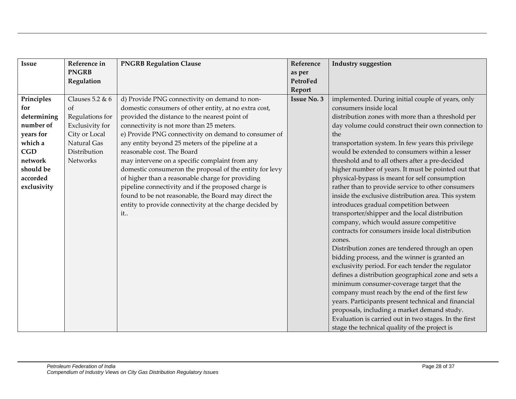| Issue       | Reference in    | <b>PNGRB Regulation Clause</b>                          | Reference          | <b>Industry suggestion</b>                            |
|-------------|-----------------|---------------------------------------------------------|--------------------|-------------------------------------------------------|
|             | <b>PNGRB</b>    |                                                         | as per             |                                                       |
|             | Regulation      |                                                         | PetroFed           |                                                       |
|             |                 |                                                         | Report             |                                                       |
| Principles  | Clauses 5.2 & 6 | d) Provide PNG connectivity on demand to non-           | <b>Issue No. 3</b> | implemented. During initial couple of years, only     |
| for         | of              | domestic consumers of other entity, at no extra cost,   |                    | consumers inside local                                |
| determining | Regulations for | provided the distance to the nearest point of           |                    | distribution zones with more than a threshold per     |
| number of   | Exclusivity for | connectivity is not more than 25 meters.                |                    | day volume could construct their own connection to    |
| years for   | City or Local   | e) Provide PNG connectivity on demand to consumer of    |                    | the                                                   |
| which a     | Natural Gas     | any entity beyond 25 meters of the pipeline at a        |                    | transportation system. In few years this privilege    |
| <b>CGD</b>  | Distribution    | reasonable cost. The Board                              |                    | would be extended to consumers within a lesser        |
| network     | Networks        | may intervene on a specific complaint from any          |                    | threshold and to all others after a pre-decided       |
| should be   |                 | domestic consumeron the proposal of the entity for levy |                    | higher number of years. It must be pointed out that   |
| accorded    |                 | of higher than a reasonable charge for providing        |                    | physical-bypass is meant for self consumption         |
| exclusivity |                 | pipeline connectivity and if the proposed charge is     |                    | rather than to provide service to other consumers     |
|             |                 | found to be not reasonable, the Board may direct the    |                    | inside the exclusive distribution area. This system   |
|             |                 | entity to provide connectivity at the charge decided by |                    | introduces gradual competition between                |
|             |                 | it                                                      |                    | transporter/shipper and the local distribution        |
|             |                 |                                                         |                    | company, which would assure competitive               |
|             |                 |                                                         |                    | contracts for consumers inside local distribution     |
|             |                 |                                                         |                    | zones.                                                |
|             |                 |                                                         |                    | Distribution zones are tendered through an open       |
|             |                 |                                                         |                    | bidding process, and the winner is granted an         |
|             |                 |                                                         |                    | exclusivity period. For each tender the regulator     |
|             |                 |                                                         |                    | defines a distribution geographical zone and sets a   |
|             |                 |                                                         |                    | minimum consumer-coverage target that the             |
|             |                 |                                                         |                    | company must reach by the end of the first few        |
|             |                 |                                                         |                    | years. Participants present technical and financial   |
|             |                 |                                                         |                    | proposals, including a market demand study.           |
|             |                 |                                                         |                    | Evaluation is carried out in two stages. In the first |
|             |                 |                                                         |                    | stage the technical quality of the project is         |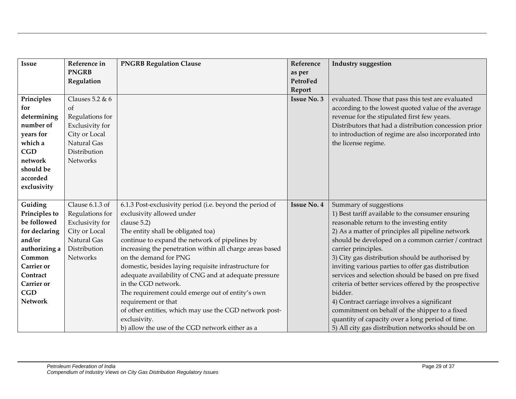| <b>Issue</b>      | Reference in      | <b>PNGRB Regulation Clause</b>                           | Reference          | <b>Industry suggestion</b>                             |
|-------------------|-------------------|----------------------------------------------------------|--------------------|--------------------------------------------------------|
|                   | <b>PNGRB</b>      |                                                          | as per             |                                                        |
|                   | Regulation        |                                                          | PetroFed           |                                                        |
|                   |                   |                                                          | Report             |                                                        |
| Principles        | Clauses $5.2 & 6$ |                                                          | <b>Issue No. 3</b> | evaluated. Those that pass this test are evaluated     |
| for               | of                |                                                          |                    | according to the lowest quoted value of the average    |
| determining       | Regulations for   |                                                          |                    | revenue for the stipulated first few years.            |
| number of         | Exclusivity for   |                                                          |                    | Distributors that had a distribution concession prior  |
| years for         | City or Local     |                                                          |                    | to introduction of regime are also incorporated into   |
| which a           | Natural Gas       |                                                          |                    | the license regime.                                    |
| <b>CGD</b>        | Distribution      |                                                          |                    |                                                        |
| network           | Networks          |                                                          |                    |                                                        |
| should be         |                   |                                                          |                    |                                                        |
| accorded          |                   |                                                          |                    |                                                        |
| exclusivity       |                   |                                                          |                    |                                                        |
|                   |                   |                                                          |                    |                                                        |
| Guiding           | Clause 6.1.3 of   | 6.1.3 Post-exclusivity period (i.e. beyond the period of | <b>Issue No. 4</b> | Summary of suggestions                                 |
| Principles to     | Regulations for   | exclusivity allowed under                                |                    | 1) Best tariff available to the consumer ensuring      |
| be followed       | Exclusivity for   | clause 5.2)                                              |                    | reasonable return to the investing entity              |
| for declaring     | City or Local     | The entity shall be obligated toa)                       |                    | 2) As a matter of principles all pipeline network      |
| and/or            | Natural Gas       | continue to expand the network of pipelines by           |                    | should be developed on a common carrier / contract     |
| authorizing a     | Distribution      | increasing the penetration within all charge areas based |                    | carrier principles.                                    |
| Common            | <b>Networks</b>   | on the demand for PNG                                    |                    | 3) City gas distribution should be authorised by       |
| <b>Carrier</b> or |                   | domestic, besides laying requisite infrastructure for    |                    | inviting various parties to offer gas distribution     |
| Contract          |                   | adequate availability of CNG and at adequate pressure    |                    | services and selection should be based on pre fixed    |
| Carrier or        |                   | in the CGD network.                                      |                    | criteria of better services offered by the prospective |
| <b>CGD</b>        |                   | The requirement could emerge out of entity's own         |                    | bidder.                                                |
| <b>Network</b>    |                   | requirement or that                                      |                    | 4) Contract carriage involves a significant            |
|                   |                   | of other entities, which may use the CGD network post-   |                    | commitment on behalf of the shipper to a fixed         |
|                   |                   | exclusivity.                                             |                    | quantity of capacity over a long period of time.       |
|                   |                   | b) allow the use of the CGD network either as a          |                    | 5) All city gas distribution networks should be on     |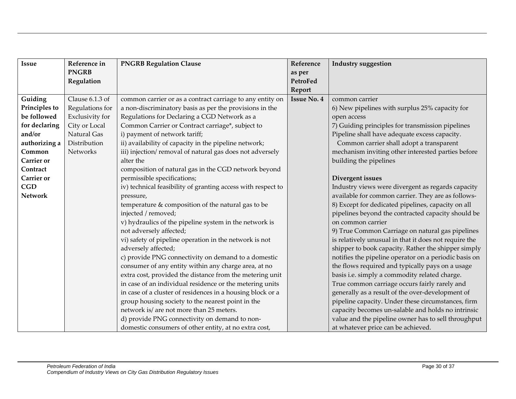| <b>Issue</b>      | Reference in           | <b>PNGRB Regulation Clause</b>                               | Reference          | <b>Industry suggestion</b>                            |
|-------------------|------------------------|--------------------------------------------------------------|--------------------|-------------------------------------------------------|
|                   | <b>PNGRB</b>           |                                                              | as per             |                                                       |
|                   | Regulation             |                                                              | PetroFed           |                                                       |
|                   |                        |                                                              | Report             |                                                       |
| Guiding           | Clause 6.1.3 of        | common carrier or as a contract carriage to any entity on    | <b>Issue No. 4</b> | common carrier                                        |
| Principles to     | Regulations for        | a non-discriminatory basis as per the provisions in the      |                    | 6) New pipelines with surplus 25% capacity for        |
| be followed       | <b>Exclusivity</b> for | Regulations for Declaring a CGD Network as a                 |                    | open access                                           |
| for declaring     | City or Local          | Common Carrier or Contract carriage*, subject to             |                    | 7) Guiding principles for transmission pipelines      |
| and/or            | Natural Gas            | i) payment of network tariff;                                |                    | Pipeline shall have adequate excess capacity.         |
| authorizing a     | Distribution           | ii) availability of capacity in the pipeline network;        |                    | Common carrier shall adopt a transparent              |
| Common            | <b>Networks</b>        | iii) injection/removal of natural gas does not adversely     |                    | mechanism inviting other interested parties before    |
| Carrier or        |                        | alter the                                                    |                    | building the pipelines                                |
| Contract          |                        | composition of natural gas in the CGD network beyond         |                    |                                                       |
| <b>Carrier</b> or |                        | permissible specifications;                                  |                    | Divergent issues                                      |
| <b>CGD</b>        |                        | iv) technical feasibility of granting access with respect to |                    | Industry views were divergent as regards capacity     |
| <b>Network</b>    |                        | pressure,                                                    |                    | available for common carrier. They are as follows-    |
|                   |                        | temperature & composition of the natural gas to be           |                    | 8) Except for dedicated pipelines, capacity on all    |
|                   |                        | injected / removed;                                          |                    | pipelines beyond the contracted capacity should be    |
|                   |                        | v) hydraulics of the pipeline system in the network is       |                    | on common carrier                                     |
|                   |                        | not adversely affected;                                      |                    | 9) True Common Carriage on natural gas pipelines      |
|                   |                        | vi) safety of pipeline operation in the network is not       |                    | is relatively unusual in that it does not require the |
|                   |                        | adversely affected;                                          |                    | shipper to book capacity. Rather the shipper simply   |
|                   |                        | c) provide PNG connectivity on demand to a domestic          |                    | notifies the pipeline operator on a periodic basis on |
|                   |                        | consumer of any entity within any charge area, at no         |                    | the flows required and typically pays on a usage      |
|                   |                        | extra cost, provided the distance from the metering unit     |                    | basis i.e. simply a commodity related charge.         |
|                   |                        | in case of an individual residence or the metering units     |                    | True common carriage occurs fairly rarely and         |
|                   |                        | in case of a cluster of residences in a housing block or a   |                    | generally as a result of the over-development of      |
|                   |                        | group housing society to the nearest point in the            |                    | pipeline capacity. Under these circumstances, firm    |
|                   |                        | network is/ are not more than 25 meters.                     |                    | capacity becomes un-salable and holds no intrinsic    |
|                   |                        | d) provide PNG connectivity on demand to non-                |                    | value and the pipeline owner has to sell throughput   |
|                   |                        | domestic consumers of other entity, at no extra cost,        |                    | at whatever price can be achieved.                    |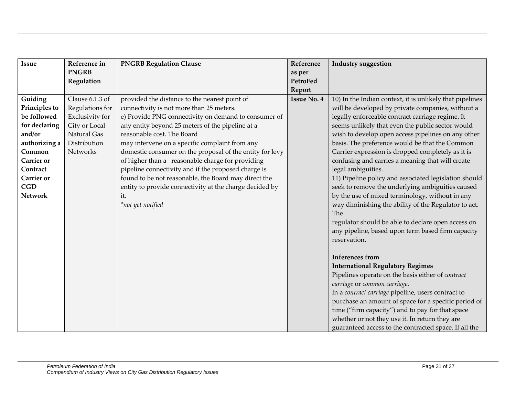| <b>Issue</b>      | Reference in    | <b>PNGRB Regulation Clause</b>                           | Reference          | <b>Industry suggestion</b>                               |
|-------------------|-----------------|----------------------------------------------------------|--------------------|----------------------------------------------------------|
|                   | <b>PNGRB</b>    |                                                          | as per             |                                                          |
|                   | Regulation      |                                                          | PetroFed           |                                                          |
|                   |                 |                                                          | Report             |                                                          |
| Guiding           | Clause 6.1.3 of | provided the distance to the nearest point of            | <b>Issue No. 4</b> | 10) In the Indian context, it is unlikely that pipelines |
| Principles to     | Regulations for | connectivity is not more than 25 meters.                 |                    | will be developed by private companies, without a        |
| be followed       | Exclusivity for | e) Provide PNG connectivity on demand to consumer of     |                    | legally enforceable contract carriage regime. It         |
| for declaring     | City or Local   | any entity beyond 25 meters of the pipeline at a         |                    | seems unlikely that even the public sector would         |
| and/or            | Natural Gas     | reasonable cost. The Board                               |                    | wish to develop open access pipelines on any other       |
| authorizing a     | Distribution    | may intervene on a specific complaint from any           |                    | basis. The preference would be that the Common           |
| Common            | Networks        | domestic consumer on the proposal of the entity for levy |                    | Carrier expression is dropped completely as it is        |
| <b>Carrier</b> or |                 | of higher than a reasonable charge for providing         |                    | confusing and carries a meaning that will create         |
| Contract          |                 | pipeline connectivity and if the proposed charge is      |                    | legal ambiguities.                                       |
| <b>Carrier</b> or |                 | found to be not reasonable, the Board may direct the     |                    | 11) Pipeline policy and associated legislation should    |
| CGD               |                 | entity to provide connectivity at the charge decided by  |                    | seek to remove the underlying ambiguities caused         |
| <b>Network</b>    |                 | it.                                                      |                    | by the use of mixed terminology, without in any          |
|                   |                 | *not yet notified                                        |                    | way diminishing the ability of the Regulator to act.     |
|                   |                 |                                                          |                    | <b>The</b>                                               |
|                   |                 |                                                          |                    | regulator should be able to declare open access on       |
|                   |                 |                                                          |                    | any pipeline, based upon term based firm capacity        |
|                   |                 |                                                          |                    | reservation.                                             |
|                   |                 |                                                          |                    | <b>Inferences</b> from                                   |
|                   |                 |                                                          |                    | <b>International Regulatory Regimes</b>                  |
|                   |                 |                                                          |                    | Pipelines operate on the basis either of contract        |
|                   |                 |                                                          |                    | carriage or common carriage.                             |
|                   |                 |                                                          |                    | In a contract carriage pipeline, users contract to       |
|                   |                 |                                                          |                    | purchase an amount of space for a specific period of     |
|                   |                 |                                                          |                    | time ("firm capacity") and to pay for that space         |
|                   |                 |                                                          |                    | whether or not they use it. In return they are           |
|                   |                 |                                                          |                    | guaranteed access to the contracted space. If all the    |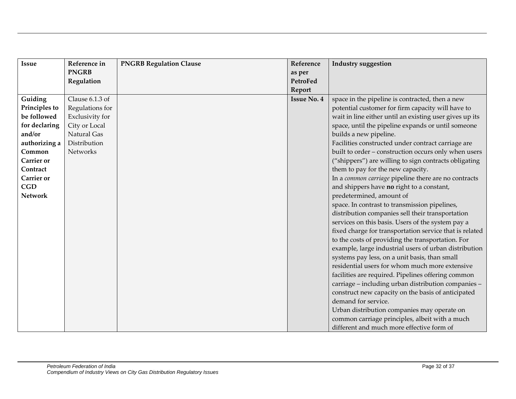| <b>Issue</b>      | Reference in    | <b>PNGRB Regulation Clause</b> | Reference          | <b>Industry suggestion</b>                              |
|-------------------|-----------------|--------------------------------|--------------------|---------------------------------------------------------|
|                   | <b>PNGRB</b>    |                                | as per             |                                                         |
|                   | Regulation      |                                | PetroFed           |                                                         |
|                   |                 |                                | Report             |                                                         |
| Guiding           | Clause 6.1.3 of |                                | <b>Issue No. 4</b> | space in the pipeline is contracted, then a new         |
| Principles to     | Regulations for |                                |                    | potential customer for firm capacity will have to       |
| be followed       | Exclusivity for |                                |                    | wait in line either until an existing user gives up its |
| for declaring     | City or Local   |                                |                    | space, until the pipeline expands or until someone      |
| and/or            | Natural Gas     |                                |                    | builds a new pipeline.                                  |
| authorizing a     | Distribution    |                                |                    | Facilities constructed under contract carriage are      |
| Common            | <b>Networks</b> |                                |                    | built to order - construction occurs only when users    |
| <b>Carrier</b> or |                 |                                |                    | ("shippers") are willing to sign contracts obligating   |
| Contract          |                 |                                |                    | them to pay for the new capacity.                       |
| <b>Carrier</b> or |                 |                                |                    | In a common carriage pipeline there are no contracts    |
| CGD               |                 |                                |                    | and shippers have no right to a constant,               |
| <b>Network</b>    |                 |                                |                    | predetermined, amount of                                |
|                   |                 |                                |                    | space. In contrast to transmission pipelines,           |
|                   |                 |                                |                    | distribution companies sell their transportation        |
|                   |                 |                                |                    | services on this basis. Users of the system pay a       |
|                   |                 |                                |                    | fixed charge for transportation service that is related |
|                   |                 |                                |                    | to the costs of providing the transportation. For       |
|                   |                 |                                |                    | example, large industrial users of urban distribution   |
|                   |                 |                                |                    | systems pay less, on a unit basis, than small           |
|                   |                 |                                |                    | residential users for whom much more extensive          |
|                   |                 |                                |                    | facilities are required. Pipelines offering common      |
|                   |                 |                                |                    | carriage - including urban distribution companies -     |
|                   |                 |                                |                    | construct new capacity on the basis of anticipated      |
|                   |                 |                                |                    | demand for service.                                     |
|                   |                 |                                |                    | Urban distribution companies may operate on             |
|                   |                 |                                |                    | common carriage principles, albeit with a much          |
|                   |                 |                                |                    | different and much more effective form of               |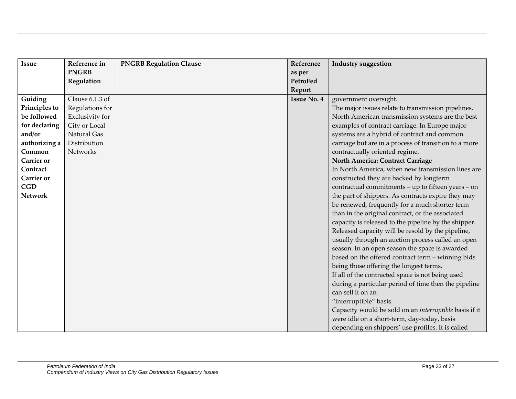| Issue             | Reference in    | <b>PNGRB Regulation Clause</b> | Reference          | <b>Industry suggestion</b>                             |
|-------------------|-----------------|--------------------------------|--------------------|--------------------------------------------------------|
|                   | <b>PNGRB</b>    |                                | as per             |                                                        |
|                   | Regulation      |                                | PetroFed           |                                                        |
|                   |                 |                                | Report             |                                                        |
| Guiding           | Clause 6.1.3 of |                                | <b>Issue No. 4</b> | government oversight.                                  |
| Principles to     | Regulations for |                                |                    | The major issues relate to transmission pipelines.     |
| be followed       | Exclusivity for |                                |                    | North American transmission systems are the best       |
| for declaring     | City or Local   |                                |                    | examples of contract carriage. In Europe major         |
| and/or            | Natural Gas     |                                |                    | systems are a hybrid of contract and common            |
| authorizing a     | Distribution    |                                |                    | carriage but are in a process of transition to a more  |
| Common            | Networks        |                                |                    | contractually oriented regime.                         |
| <b>Carrier</b> or |                 |                                |                    | North America: Contract Carriage                       |
| Contract          |                 |                                |                    | In North America, when new transmission lines are      |
| <b>Carrier</b> or |                 |                                |                    | constructed they are backed by longterm                |
| <b>CGD</b>        |                 |                                |                    | contractual commitments - up to fifteen years - on     |
| <b>Network</b>    |                 |                                |                    | the part of shippers. As contracts expire they may     |
|                   |                 |                                |                    | be renewed, frequently for a much shorter term         |
|                   |                 |                                |                    | than in the original contract, or the associated       |
|                   |                 |                                |                    | capacity is released to the pipeline by the shipper.   |
|                   |                 |                                |                    | Released capacity will be resold by the pipeline,      |
|                   |                 |                                |                    | usually through an auction process called an open      |
|                   |                 |                                |                    | season. In an open season the space is awarded         |
|                   |                 |                                |                    | based on the offered contract term - winning bids      |
|                   |                 |                                |                    | being those offering the longest terms.                |
|                   |                 |                                |                    | If all of the contracted space is not being used       |
|                   |                 |                                |                    | during a particular period of time then the pipeline   |
|                   |                 |                                |                    | can sell it on an                                      |
|                   |                 |                                |                    | "interruptible" basis.                                 |
|                   |                 |                                |                    | Capacity would be sold on an interruptible basis if it |
|                   |                 |                                |                    | were idle on a short-term, day-today, basis            |
|                   |                 |                                |                    | depending on shippers' use profiles. It is called      |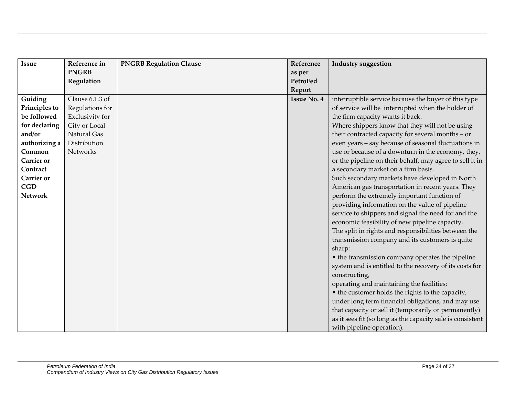| <b>Issue</b>      | Reference in    | <b>PNGRB Regulation Clause</b> | Reference          | <b>Industry suggestion</b>                                 |
|-------------------|-----------------|--------------------------------|--------------------|------------------------------------------------------------|
|                   | <b>PNGRB</b>    |                                | as per             |                                                            |
|                   | Regulation      |                                | PetroFed           |                                                            |
|                   |                 |                                | Report             |                                                            |
| Guiding           | Clause 6.1.3 of |                                | <b>Issue No. 4</b> | interruptible service because the buyer of this type       |
| Principles to     | Regulations for |                                |                    | of service will be interrupted when the holder of          |
| be followed       | Exclusivity for |                                |                    | the firm capacity wants it back.                           |
| for declaring     | City or Local   |                                |                    | Where shippers know that they will not be using            |
| and/or            | Natural Gas     |                                |                    | their contracted capacity for several months - or          |
| authorizing a     | Distribution    |                                |                    | even years - say because of seasonal fluctuations in       |
| Common            | Networks        |                                |                    | use or because of a downturn in the economy, they,         |
| <b>Carrier</b> or |                 |                                |                    | or the pipeline on their behalf, may agree to sell it in   |
| Contract          |                 |                                |                    | a secondary market on a firm basis.                        |
| <b>Carrier</b> or |                 |                                |                    | Such secondary markets have developed in North             |
| CGD               |                 |                                |                    | American gas transportation in recent years. They          |
| <b>Network</b>    |                 |                                |                    | perform the extremely important function of                |
|                   |                 |                                |                    | providing information on the value of pipeline             |
|                   |                 |                                |                    | service to shippers and signal the need for and the        |
|                   |                 |                                |                    | economic feasibility of new pipeline capacity.             |
|                   |                 |                                |                    | The split in rights and responsibilities between the       |
|                   |                 |                                |                    | transmission company and its customers is quite            |
|                   |                 |                                |                    | sharp:                                                     |
|                   |                 |                                |                    | • the transmission company operates the pipeline           |
|                   |                 |                                |                    | system and is entitled to the recovery of its costs for    |
|                   |                 |                                |                    | constructing,                                              |
|                   |                 |                                |                    | operating and maintaining the facilities;                  |
|                   |                 |                                |                    | • the customer holds the rights to the capacity,           |
|                   |                 |                                |                    | under long term financial obligations, and may use         |
|                   |                 |                                |                    | that capacity or sell it (temporarily or permanently)      |
|                   |                 |                                |                    | as it sees fit (so long as the capacity sale is consistent |
|                   |                 |                                |                    | with pipeline operation).                                  |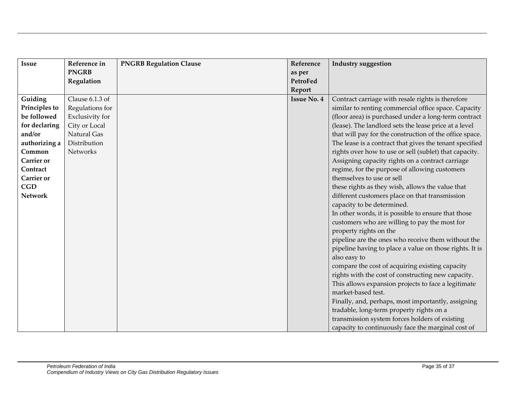| <b>Issue</b>      | Reference in    | <b>PNGRB Regulation Clause</b> | Reference          | <b>Industry suggestion</b>                              |
|-------------------|-----------------|--------------------------------|--------------------|---------------------------------------------------------|
|                   | <b>PNGRB</b>    |                                | as per             |                                                         |
|                   | Regulation      |                                | PetroFed           |                                                         |
|                   |                 |                                | Report             |                                                         |
| Guiding           | Clause 6.1.3 of |                                | <b>Issue No. 4</b> | Contract carriage with resale rights is therefore       |
| Principles to     | Regulations for |                                |                    | similar to renting commercial office space. Capacity    |
| be followed       | Exclusivity for |                                |                    | (floor area) is purchased under a long-term contract    |
| for declaring     | City or Local   |                                |                    | (lease). The landlord sets the lease price at a level   |
| and/or            | Natural Gas     |                                |                    | that will pay for the construction of the office space. |
| authorizing a     | Distribution    |                                |                    | The lease is a contract that gives the tenant specified |
| Common            | Networks        |                                |                    | rights over how to use or sell (sublet) that capacity.  |
| <b>Carrier</b> or |                 |                                |                    | Assigning capacity rights on a contract carriage        |
| Contract          |                 |                                |                    | regime, for the purpose of allowing customers           |
| <b>Carrier</b> or |                 |                                |                    | themselves to use or sell                               |
| CGD               |                 |                                |                    | these rights as they wish, allows the value that        |
| <b>Network</b>    |                 |                                |                    | different customers place on that transmission          |
|                   |                 |                                |                    | capacity to be determined.                              |
|                   |                 |                                |                    | In other words, it is possible to ensure that those     |
|                   |                 |                                |                    | customers who are willing to pay the most for           |
|                   |                 |                                |                    | property rights on the                                  |
|                   |                 |                                |                    | pipeline are the ones who receive them without the      |
|                   |                 |                                |                    | pipeline having to place a value on those rights. It is |
|                   |                 |                                |                    | also easy to                                            |
|                   |                 |                                |                    | compare the cost of acquiring existing capacity         |
|                   |                 |                                |                    | rights with the cost of constructing new capacity.      |
|                   |                 |                                |                    | This allows expansion projects to face a legitimate     |
|                   |                 |                                |                    | market-based test.                                      |
|                   |                 |                                |                    | Finally, and, perhaps, most importantly, assigning      |
|                   |                 |                                |                    | tradable, long-term property rights on a                |
|                   |                 |                                |                    | transmission system forces holders of existing          |
|                   |                 |                                |                    | capacity to continuously face the marginal cost of      |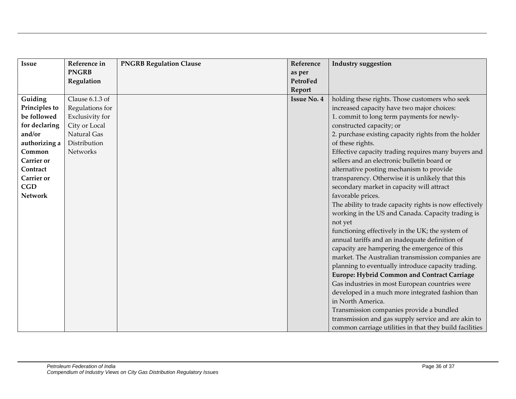| <b>Issue</b>      | Reference in    | <b>PNGRB Regulation Clause</b> | Reference          | <b>Industry suggestion</b>                              |
|-------------------|-----------------|--------------------------------|--------------------|---------------------------------------------------------|
|                   | <b>PNGRB</b>    |                                | as per             |                                                         |
|                   | Regulation      |                                | PetroFed           |                                                         |
|                   |                 |                                | Report             |                                                         |
| Guiding           | Clause 6.1.3 of |                                | <b>Issue No. 4</b> | holding these rights. Those customers who seek          |
| Principles to     | Regulations for |                                |                    | increased capacity have two major choices:              |
| be followed       | Exclusivity for |                                |                    | 1. commit to long term payments for newly-              |
| for declaring     | City or Local   |                                |                    | constructed capacity; or                                |
| and/or            | Natural Gas     |                                |                    | 2. purchase existing capacity rights from the holder    |
| authorizing a     | Distribution    |                                |                    | of these rights.                                        |
| Common            | Networks        |                                |                    | Effective capacity trading requires many buyers and     |
| <b>Carrier</b> or |                 |                                |                    | sellers and an electronic bulletin board or             |
| Contract          |                 |                                |                    | alternative posting mechanism to provide                |
| <b>Carrier</b> or |                 |                                |                    | transparency. Otherwise it is unlikely that this        |
| CGD               |                 |                                |                    | secondary market in capacity will attract               |
| <b>Network</b>    |                 |                                |                    | favorable prices.                                       |
|                   |                 |                                |                    | The ability to trade capacity rights is now effectively |
|                   |                 |                                |                    | working in the US and Canada. Capacity trading is       |
|                   |                 |                                |                    | not yet                                                 |
|                   |                 |                                |                    | functioning effectively in the UK; the system of        |
|                   |                 |                                |                    | annual tariffs and an inadequate definition of          |
|                   |                 |                                |                    | capacity are hampering the emergence of this            |
|                   |                 |                                |                    | market. The Australian transmission companies are       |
|                   |                 |                                |                    | planning to eventually introduce capacity trading.      |
|                   |                 |                                |                    | <b>Europe: Hybrid Common and Contract Carriage</b>      |
|                   |                 |                                |                    | Gas industries in most European countries were          |
|                   |                 |                                |                    | developed in a much more integrated fashion than        |
|                   |                 |                                |                    | in North America.                                       |
|                   |                 |                                |                    | Transmission companies provide a bundled                |
|                   |                 |                                |                    | transmission and gas supply service and are akin to     |
|                   |                 |                                |                    | common carriage utilities in that they build facilities |